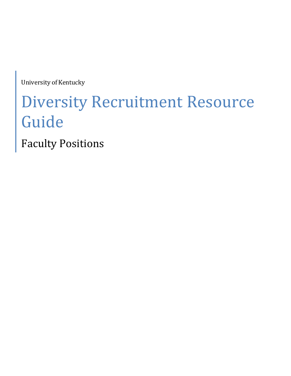University of Kentucky

# Diversity Recruitment Resource Guide

Faculty Positions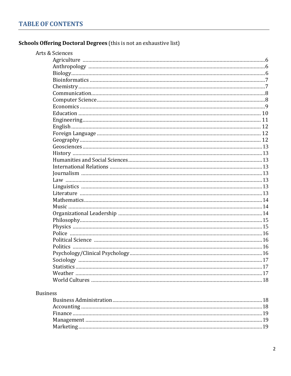### Schools Offering Doctoral Degrees (this is not an exhaustive list)

| Arts & Sciences |  |
|-----------------|--|
|                 |  |
|                 |  |
|                 |  |
|                 |  |
|                 |  |
|                 |  |
|                 |  |
|                 |  |
|                 |  |
|                 |  |
|                 |  |
|                 |  |
|                 |  |
|                 |  |
|                 |  |
|                 |  |
|                 |  |
|                 |  |
|                 |  |
|                 |  |
|                 |  |
|                 |  |
|                 |  |
|                 |  |
|                 |  |
|                 |  |
|                 |  |
|                 |  |
|                 |  |
|                 |  |
|                 |  |
|                 |  |
|                 |  |
|                 |  |
|                 |  |
| <b>Business</b> |  |
|                 |  |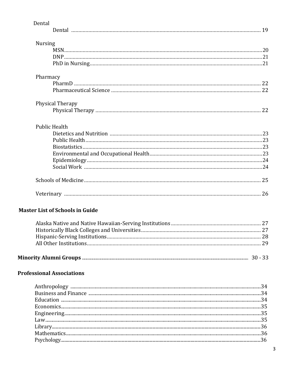| Dental                                 |  |
|----------------------------------------|--|
|                                        |  |
| <b>Nursing</b>                         |  |
|                                        |  |
|                                        |  |
|                                        |  |
|                                        |  |
| Pharmacy                               |  |
|                                        |  |
|                                        |  |
| Physical Therapy                       |  |
|                                        |  |
|                                        |  |
| <b>Public Health</b>                   |  |
|                                        |  |
|                                        |  |
|                                        |  |
|                                        |  |
|                                        |  |
|                                        |  |
|                                        |  |
|                                        |  |
| <b>Master List of Schools in Guide</b> |  |
|                                        |  |
|                                        |  |
|                                        |  |
|                                        |  |
|                                        |  |
| <b>Professional Associations</b>       |  |
|                                        |  |
|                                        |  |
|                                        |  |
|                                        |  |
|                                        |  |
|                                        |  |
|                                        |  |
|                                        |  |

 $\mathbf{3}$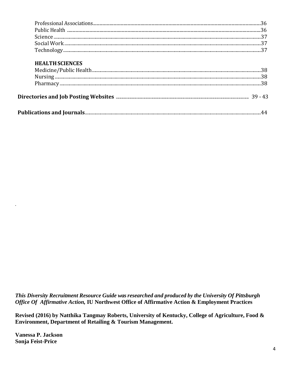#### **HEALTH SCIENCES**

This Diversity Recruitment Resource Guide was researched and produced by the University Of Pittsburgh Office Of Affirmative Action, IU Northwest Office of Affirmative Action & Employment Practices

Revised (2016) by Natthika Tangmay Roberts, University of Kentucky, College of Agriculture, Food & Environment, Department of Retailing & Tourism Management.

**Vanessa P. Jackson Sonja Feist-Price**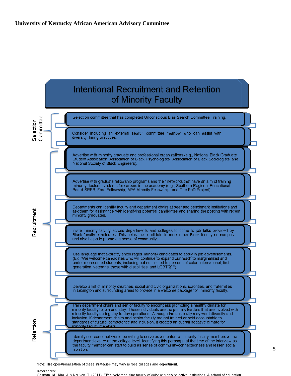

References: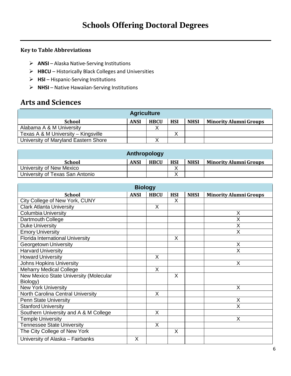#### **Key to Table Abbreviations**

- **ANSI** Alaska Native‐Serving Institutions
- **HBCU** Historically Black Colleges and Universities
- **HSI** Hispanic‐Serving Institutions
- **NHSI** Native Hawaiian‐Serving Institutions

### **Arts and Sciences**

| <b>Agriculture</b>                   |             |             |            |             |                               |  |
|--------------------------------------|-------------|-------------|------------|-------------|-------------------------------|--|
| <b>School</b>                        | <b>ANSI</b> | <b>HBCU</b> | <b>HSI</b> | <b>NHSI</b> | <b>Minority Alumni Groups</b> |  |
| Alabama A & M University             |             |             |            |             |                               |  |
| Texas A & M University – Kingsville  |             |             |            |             |                               |  |
| University of Maryland Eastern Shore |             |             |            |             |                               |  |

| Anthropology                    |             |             |            |             |                               |  |  |
|---------------------------------|-------------|-------------|------------|-------------|-------------------------------|--|--|
| <b>School</b>                   | <b>ANSI</b> | <b>HBCU</b> | <b>HSI</b> | <b>NHSI</b> | <b>Minority Alumni Groups</b> |  |  |
| University of New Mexico        |             |             |            |             |                               |  |  |
| University of Texas San Antonio |             |             |            |             |                               |  |  |

| <b>Biology</b>                          |             |             |            |             |                               |  |  |
|-----------------------------------------|-------------|-------------|------------|-------------|-------------------------------|--|--|
| <b>School</b>                           | <b>ANSI</b> | <b>HBCU</b> | <b>HSI</b> | <b>NHSI</b> | <b>Minority Alumni Groups</b> |  |  |
| City College of New York, CUNY          |             |             | X          |             |                               |  |  |
| <b>Clark Atlanta University</b>         |             | X           |            |             |                               |  |  |
| <b>Columbia University</b>              |             |             |            |             | X                             |  |  |
| Dartmouth College                       |             |             |            |             | X                             |  |  |
| <b>Duke University</b>                  |             |             |            |             | X                             |  |  |
| <b>Emory University</b>                 |             |             |            |             | X                             |  |  |
| <b>Florida International University</b> |             |             | X          |             |                               |  |  |
| <b>Georgetown University</b>            |             |             |            |             | X                             |  |  |
| <b>Harvard University</b>               |             |             |            |             | X                             |  |  |
| <b>Howard University</b>                |             | X           |            |             |                               |  |  |
| <b>Johns Hopkins University</b>         |             |             |            |             | X                             |  |  |
| <b>Meharry Medical College</b>          |             | $\sf X$     |            |             |                               |  |  |
| New Mexico State University (Molecular  |             |             | X          |             |                               |  |  |
| Biology)                                |             |             |            |             |                               |  |  |
| <b>New York University</b>              |             |             |            |             | X                             |  |  |
| North Carolina Central University       |             | X           |            |             |                               |  |  |
| <b>Penn State University</b>            |             |             |            |             | X                             |  |  |
| <b>Stanford University</b>              |             |             |            |             | X                             |  |  |
| Southern University and A & M College   |             | X           |            |             |                               |  |  |
| <b>Temple University</b>                |             |             |            |             | X                             |  |  |
| <b>Tennessee State University</b>       |             | X           |            |             |                               |  |  |
| The City College of New York            |             |             | X          |             |                               |  |  |
| University of Alaska - Fairbanks        | X           |             |            |             |                               |  |  |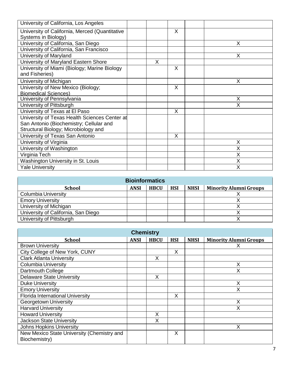| University of California, Los Angeles          |   |   |    |
|------------------------------------------------|---|---|----|
|                                                |   |   |    |
| University of California, Merced (Quantitative |   | X |    |
| Systems in Biology)                            |   |   |    |
| University of California, San Diego            |   |   | X. |
| University of California, San Francisco        |   |   |    |
| University of Maryland                         |   |   | X  |
| University of Maryland Eastern Shore           | X |   |    |
| University of Miami (Biology; Marine Biology   |   | X |    |
| and Fisheries)                                 |   |   |    |
| University of Michigan                         |   |   | X  |
| University of New Mexico (Biology;             |   | X |    |
| <b>Biomedical Sciences)</b>                    |   |   |    |
| University of Pennsylvania                     |   |   | X  |
| University of Pittsburgh                       |   |   | X  |
| University of Texas at El Paso                 |   | X |    |
| University of Texas Health Sciences Center at  |   |   |    |
| San Antonio (Biochemistry; Cellular and        |   |   |    |
| Structural Biology; Microbiology and           |   |   |    |
| University of Texas San Antonio                |   | X |    |
| University of Virginia                         |   |   | X  |
| University of Washington                       |   |   | X  |
| Virginia Tech                                  |   |   | X  |
| Washington University in St. Louis             |   |   | X  |
| <b>Yale University</b>                         |   |   | X  |

| <b>Bioinformatics</b>               |             |             |            |             |                               |  |
|-------------------------------------|-------------|-------------|------------|-------------|-------------------------------|--|
| <b>School</b>                       | <b>ANSI</b> | <b>HBCU</b> | <b>HSI</b> | <b>NHSI</b> | <b>Minority Alumni Groups</b> |  |
| <b>Columbia University</b>          |             |             |            |             |                               |  |
| <b>Emory University</b>             |             |             |            |             |                               |  |
| University of Michigan              |             |             |            |             |                               |  |
| University of California, San Diego |             |             |            |             |                               |  |
| University of Pittsburgh            |             |             |            |             |                               |  |

| <b>Chemistry</b>                                            |             |             |            |             |                               |  |
|-------------------------------------------------------------|-------------|-------------|------------|-------------|-------------------------------|--|
| <b>School</b>                                               | <b>ANSI</b> | <b>HBCU</b> | <b>HSI</b> | <b>NHSI</b> | <b>Minority Alumni Groups</b> |  |
| <b>Brown University</b>                                     |             |             |            |             |                               |  |
| City College of New York, CUNY                              |             |             | X          |             |                               |  |
| <b>Clark Atlanta University</b>                             |             | X           |            |             |                               |  |
| <b>Columbia University</b>                                  |             |             |            |             | X                             |  |
| Dartmouth College                                           |             |             |            |             | Χ                             |  |
| <b>Delaware State University</b>                            |             | X           |            |             |                               |  |
| <b>Duke University</b>                                      |             |             |            |             | X                             |  |
| <b>Emory University</b>                                     |             |             |            |             | Х                             |  |
| <b>Florida International University</b>                     |             |             | X          |             |                               |  |
| Georgetown University                                       |             |             |            |             | X                             |  |
| <b>Harvard University</b>                                   |             |             |            |             | Х                             |  |
| <b>Howard University</b>                                    |             | X           |            |             |                               |  |
| <b>Jackson State University</b>                             |             | X           |            |             |                               |  |
| <b>Johns Hopkins University</b>                             |             |             |            |             | x                             |  |
| New Mexico State University (Chemistry and<br>Biochemistry) |             |             | X          |             |                               |  |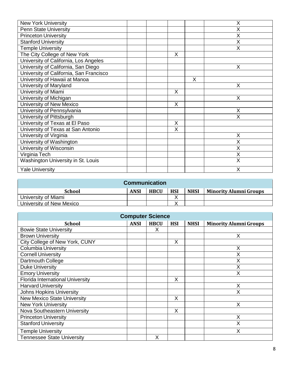| <b>New York University</b>              |   |   | X |
|-----------------------------------------|---|---|---|
| <b>Penn State University</b>            |   |   | X |
| <b>Princeton University</b>             |   |   | X |
| <b>Stanford University</b>              |   |   | X |
| <b>Temple University</b>                |   |   | X |
| The City College of New York            | X |   |   |
| University of California, Los Angeles   |   |   |   |
| University of California, San Diego     |   |   | X |
| University of California, San Francisco |   |   |   |
| University of Hawaii at Manoa           |   | X |   |
| University of Maryland                  |   |   | X |
| University of Miami                     | X |   |   |
| University of Michigan                  |   |   | X |
| University of New Mexico                | X |   |   |
| University of Pennsylvania              |   |   | X |
| University of Pittsburgh                |   |   | X |
| University of Texas at El Paso          | X |   |   |
| University of Texas at San Antonio      | X |   |   |
| University of Virginia                  |   |   | X |
| University of Washington                |   |   | X |
| University of Wisconsin                 |   |   | X |
| Virginia Tech                           |   |   | X |
| Washington University in St. Louis      |   |   | X |
| <b>Yale University</b>                  |   |   | X |
|                                         |   |   |   |

| <b>Communication</b>     |             |             |            |             |                               |  |  |
|--------------------------|-------------|-------------|------------|-------------|-------------------------------|--|--|
| School                   | <b>ANSI</b> | <b>HBCU</b> | <b>HSI</b> | <b>NHSI</b> | <b>Minority Alumni Groups</b> |  |  |
| University of Miami      |             |             |            |             |                               |  |  |
| University of New Mexico |             |             |            |             |                               |  |  |

| <b>Computer Science</b>                 |             |             |            |             |                               |  |  |  |
|-----------------------------------------|-------------|-------------|------------|-------------|-------------------------------|--|--|--|
| <b>School</b>                           | <b>ANSI</b> | <b>HBCU</b> | <b>HSI</b> | <b>NHSI</b> | <b>Minority Alumni Groups</b> |  |  |  |
| <b>Bowie State University</b>           |             | Х           |            |             |                               |  |  |  |
| <b>Brown University</b>                 |             |             |            |             | Χ                             |  |  |  |
| City College of New York, CUNY          |             |             | X          |             |                               |  |  |  |
| <b>Columbia University</b>              |             |             |            |             | X                             |  |  |  |
| <b>Cornell University</b>               |             |             |            |             | X                             |  |  |  |
| Dartmouth College                       |             |             |            |             | X                             |  |  |  |
| <b>Duke University</b>                  |             |             |            |             | Χ                             |  |  |  |
| <b>Emory University</b>                 |             |             |            |             | Χ                             |  |  |  |
| <b>Florida International University</b> |             |             | X          |             |                               |  |  |  |
| <b>Harvard University</b>               |             |             |            |             | X                             |  |  |  |
| <b>Johns Hopkins University</b>         |             |             |            |             | X                             |  |  |  |
| <b>New Mexico State University</b>      |             |             | X          |             |                               |  |  |  |
| <b>New York University</b>              |             |             |            |             | X                             |  |  |  |
| Nova Southeastern University            |             |             | X          |             |                               |  |  |  |
| <b>Princeton University</b>             |             |             |            |             | X                             |  |  |  |
| <b>Stanford University</b>              |             |             |            |             | Χ                             |  |  |  |
| <b>Temple University</b>                |             |             |            |             | Χ                             |  |  |  |
| <b>Tennessee State University</b>       |             | X           |            |             |                               |  |  |  |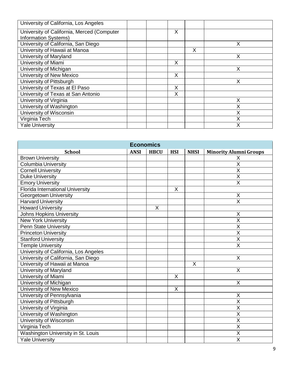| University of California, Los Angeles      |   |   |   |
|--------------------------------------------|---|---|---|
| University of California, Merced (Computer | X |   |   |
| <b>Information Systems)</b>                |   |   |   |
| University of California, San Diego        |   |   | х |
| University of Hawaii at Manoa              |   | X |   |
| University of Maryland                     |   |   | X |
| University of Miami                        | X |   |   |
| University of Michigan                     |   |   | X |
| University of New Mexico                   | X |   |   |
| University of Pittsburgh                   |   |   | X |
| University of Texas at El Paso             | X |   |   |
| University of Texas at San Antonio         | X |   |   |
| University of Virginia                     |   |   | Χ |
| University of Washington                   |   |   | Χ |
| University of Wisconsin                    |   |   | Χ |
| Virginia Tech                              |   |   |   |
| <b>Yale University</b>                     |   |   | Χ |

| <b>Economics</b>                        |             |             |                         |             |                               |  |  |  |
|-----------------------------------------|-------------|-------------|-------------------------|-------------|-------------------------------|--|--|--|
| <b>School</b>                           | <b>ANSI</b> | <b>HBCU</b> | <b>HSI</b>              | <b>NHSI</b> | <b>Minority Alumni Groups</b> |  |  |  |
| <b>Brown University</b>                 |             |             |                         |             | X                             |  |  |  |
| <b>Columbia University</b>              |             |             |                         |             | $\overline{\mathsf{x}}$       |  |  |  |
| <b>Cornell University</b>               |             |             |                         |             | X                             |  |  |  |
| <b>Duke University</b>                  |             |             |                         |             | $\overline{\mathsf{x}}$       |  |  |  |
| <b>Emory University</b>                 |             |             |                         |             | $\overline{\mathsf{X}}$       |  |  |  |
| <b>Florida International University</b> |             |             | X                       |             |                               |  |  |  |
| <b>Georgetown University</b>            |             |             |                         |             | X                             |  |  |  |
| <b>Harvard University</b>               |             |             |                         |             | $\overline{X}$                |  |  |  |
| <b>Howard University</b>                |             | X           |                         |             |                               |  |  |  |
| Johns Hopkins University                |             |             |                         |             | X                             |  |  |  |
| <b>New York University</b>              |             |             |                         |             | $\overline{\mathsf{x}}$       |  |  |  |
| <b>Penn State University</b>            |             |             |                         |             | $\overline{\mathsf{x}}$       |  |  |  |
| <b>Princeton University</b>             |             |             |                         |             | $\overline{\mathsf{X}}$       |  |  |  |
| <b>Stanford University</b>              |             |             |                         |             | $\overline{X}$                |  |  |  |
| <b>Temple University</b>                |             |             |                         |             | $\overline{\mathsf{x}}$       |  |  |  |
| University of California, Los Angeles   |             |             |                         |             |                               |  |  |  |
| University of California, San Diego     |             |             |                         |             | $\pmb{\mathsf{X}}$            |  |  |  |
| University of Hawaii at Manoa           |             |             |                         | X           |                               |  |  |  |
| University of Maryland                  |             |             |                         |             | $\times$                      |  |  |  |
| University of Miami                     |             |             | X                       |             |                               |  |  |  |
| University of Michigan                  |             |             |                         |             | X                             |  |  |  |
| <b>University of New Mexico</b>         |             |             | $\overline{\mathsf{x}}$ |             |                               |  |  |  |
| University of Pennsylvania              |             |             |                         |             | X                             |  |  |  |
| University of Pittsburgh                |             |             |                         |             | $\overline{\mathsf{X}}$       |  |  |  |
| University of Virginia                  |             |             |                         |             | $\overline{\mathsf{X}}$       |  |  |  |
| University of Washington                |             |             |                         |             | $\overline{\mathsf{x}}$       |  |  |  |
| University of Wisconsin                 |             |             |                         |             | $\sf X$                       |  |  |  |
| Virginia Tech                           |             |             |                         |             | $\overline{\mathsf{X}}$       |  |  |  |
| Washington University in St. Louis      |             |             |                         |             | $\overline{\mathsf{X}}$       |  |  |  |
| <b>Yale University</b>                  |             |             |                         |             | X                             |  |  |  |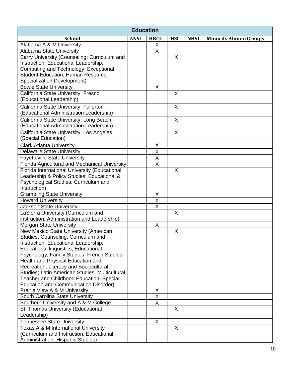| <b>Education</b>                               |             |                         |            |             |                               |  |
|------------------------------------------------|-------------|-------------------------|------------|-------------|-------------------------------|--|
| <b>School</b>                                  | <b>ANSI</b> | <b>HBCU</b>             | <b>HSI</b> | <b>NHSI</b> | <b>Minority Alumni Groups</b> |  |
| Alabama A & M University                       |             | X                       |            |             |                               |  |
| <b>Alabama State University</b>                |             | $\overline{\mathsf{X}}$ |            |             |                               |  |
| Barry University (Counseling; Curriculum and   |             |                         | X          |             |                               |  |
| Instruction; Educational Leadership;           |             |                         |            |             |                               |  |
| Computing and Technology; Exceptional          |             |                         |            |             |                               |  |
| <b>Student Education; Human Resource</b>       |             |                         |            |             |                               |  |
| <b>Specialization Development)</b>             |             |                         |            |             |                               |  |
| <b>Bowie State University</b>                  |             | $\mathsf{X}$            |            |             |                               |  |
| California State University, Fresno            |             |                         | $\sf X$    |             |                               |  |
| (Educational Leadership)                       |             |                         |            |             |                               |  |
| California State University, Fullerton         |             |                         | X          |             |                               |  |
| (Educational Administration Leadership)        |             |                         |            |             |                               |  |
| California State University, Long Beach        |             |                         | X          |             |                               |  |
| (Educational Administration Leadership)        |             |                         |            |             |                               |  |
| California State University, Los Angeles       |             |                         | X          |             |                               |  |
| (Special Education)                            |             |                         |            |             |                               |  |
| <b>Clark Atlanta University</b>                |             | X                       |            |             |                               |  |
| <b>Delaware State University</b>               |             | $\overline{\mathsf{x}}$ |            |             |                               |  |
| <b>Fayetteville State University</b>           |             | $\overline{\mathsf{X}}$ |            |             |                               |  |
| Florida Agricultural and Mechanical University |             | $\overline{\mathsf{x}}$ |            |             |                               |  |
| Florida International University (Educational  |             |                         | $\sf X$    |             |                               |  |
| Leadership & Policy Studies; Educational &     |             |                         |            |             |                               |  |
| Psychological Studies; Curriculum and          |             |                         |            |             |                               |  |
| Instruction)                                   |             |                         |            |             |                               |  |
| <b>Grambling State University</b>              |             | X                       |            |             |                               |  |
| <b>Howard University</b>                       |             | $\sf X$                 |            |             |                               |  |
| Jackson State University                       |             | $\overline{X}$          |            |             |                               |  |
| LaSierra University (Curriculum and            |             |                         | X          |             |                               |  |
| instruction; Administration and Leadership)    |             |                         |            |             |                               |  |
| Morgan State University                        |             | X                       |            |             |                               |  |
| New Mexico State University (American          |             |                         | X          |             |                               |  |
| Studies; Counseling; Curriculum and            |             |                         |            |             |                               |  |
| Instruction; Educational Leadership;           |             |                         |            |             |                               |  |
| <b>Educational linguistics; Educational</b>    |             |                         |            |             |                               |  |
| Psychology; Family Studies; French Studies;    |             |                         |            |             |                               |  |
| Health and Physical Education and              |             |                         |            |             |                               |  |
| Recreation; Literacy and Sociocultural         |             |                         |            |             |                               |  |
| Studies; Latin American Studies; Multicultural |             |                         |            |             |                               |  |
| Teacher and Childhood Education; Special       |             |                         |            |             |                               |  |
| <b>Education and Communication Disorder)</b>   |             |                         |            |             |                               |  |
| Prairie View A & M University                  |             | X                       |            |             |                               |  |
| South Carolina State University                |             | $\overline{X}$          |            |             |                               |  |
| Southern University and A & M College          |             | X                       |            |             |                               |  |
| St. Thomas University (Educational             |             |                         | X          |             |                               |  |
| Leadership)                                    |             |                         |            |             |                               |  |
| <b>Tennessee State University</b>              |             | X                       |            |             |                               |  |
| Texas A & M International University           |             |                         | X          |             |                               |  |
| (Curriculum and Instruction; Educational       |             |                         |            |             |                               |  |
| Administration; Hispanic Studies)              |             |                         |            |             |                               |  |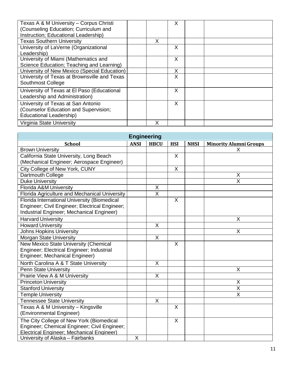| Texas A & M University - Corpus Christi<br>(Counseling Education; Curriculum and<br>Instruction; Educational Leadership) |   | X |  |
|--------------------------------------------------------------------------------------------------------------------------|---|---|--|
| <b>Texas Southern University</b>                                                                                         | X |   |  |
| University of LaVerne (Organizational                                                                                    |   | X |  |
| Leadership)                                                                                                              |   |   |  |
| University of Miami (Mathematics and                                                                                     |   | X |  |
| Science Education; Teaching and Learning)                                                                                |   |   |  |
| University of New Mexico (Special Education)                                                                             |   | X |  |
| University of Texas at Brownsville and Texas                                                                             |   | X |  |
| Southmost College                                                                                                        |   |   |  |
| University of Texas at El Paso (Educational<br>Leadership and Administration)                                            |   | X |  |
| University of Texas at San Antonio                                                                                       |   | X |  |
| (Counselor Education and Supervision;                                                                                    |   |   |  |
| Educational Leadership)                                                                                                  |   |   |  |
| Virginia State University                                                                                                |   |   |  |

| <b>Engineering</b>                             |             |                         |                         |             |                               |  |  |  |
|------------------------------------------------|-------------|-------------------------|-------------------------|-------------|-------------------------------|--|--|--|
| <b>School</b>                                  | <b>ANSI</b> | <b>HBCU</b>             | <b>HSI</b>              | <b>NHSI</b> | <b>Minority Alumni Groups</b> |  |  |  |
| <b>Brown University</b>                        |             |                         |                         |             | X                             |  |  |  |
| California State University, Long Beach        |             |                         | X                       |             |                               |  |  |  |
| (Mechanical Engineer; Aerospace Engineer)      |             |                         |                         |             |                               |  |  |  |
| City College of New York, CUNY                 |             |                         | $\sf X$                 |             |                               |  |  |  |
| Dartmouth College                              |             |                         |                         |             | X                             |  |  |  |
| <b>Duke University</b>                         |             |                         |                         |             | $\overline{\mathsf{x}}$       |  |  |  |
| Florida A&M University                         |             | X                       |                         |             |                               |  |  |  |
| Florida Agriculture and Mechanical University  |             | $\overline{\mathsf{X}}$ |                         |             |                               |  |  |  |
| Florida International University (Biomedical   |             |                         | X                       |             |                               |  |  |  |
| Engineer; Civil Engineer; Electrical Engineer; |             |                         |                         |             |                               |  |  |  |
| Industrial Engineer; Mechanical Engineer)      |             |                         |                         |             |                               |  |  |  |
| <b>Harvard University</b>                      |             |                         |                         |             | X                             |  |  |  |
| <b>Howard University</b>                       |             | X                       |                         |             |                               |  |  |  |
| <b>Johns Hopkins University</b>                |             |                         |                         |             | X                             |  |  |  |
| <b>Morgan State University</b>                 |             | $\mathsf{X}$            |                         |             |                               |  |  |  |
| New Mexico State University (Chemical          |             |                         | $\overline{\mathsf{X}}$ |             |                               |  |  |  |
| Engineer; Electrical Engineer; Industrial      |             |                         |                         |             |                               |  |  |  |
| Engineer; Mechanical Engineer)                 |             |                         |                         |             |                               |  |  |  |
| North Carolina A & T State University          |             | $\times$                |                         |             |                               |  |  |  |
| <b>Penn State University</b>                   |             |                         |                         |             | X                             |  |  |  |
| Prairie View A & M University                  |             | X                       |                         |             |                               |  |  |  |
| <b>Princeton University</b>                    |             |                         |                         |             | X                             |  |  |  |
| <b>Stanford University</b>                     |             |                         |                         |             | $\overline{X}$                |  |  |  |
| <b>Temple University</b>                       |             |                         |                         |             | $\sf X$                       |  |  |  |
| <b>Tennessee State University</b>              |             | X                       |                         |             |                               |  |  |  |
| Texas A & M University - Kingsville            |             |                         | X                       |             |                               |  |  |  |
| (Environmental Engineer)                       |             |                         |                         |             |                               |  |  |  |
| The City College of New York (Biomedical       |             |                         | X                       |             |                               |  |  |  |
| Engineer; Chemical Engineer; Civil Engineer;   |             |                         |                         |             |                               |  |  |  |
| Electrical Engineer; Mechanical Engineer)      |             |                         |                         |             |                               |  |  |  |
| University of Alaska - Fairbanks               | X           |                         |                         |             |                               |  |  |  |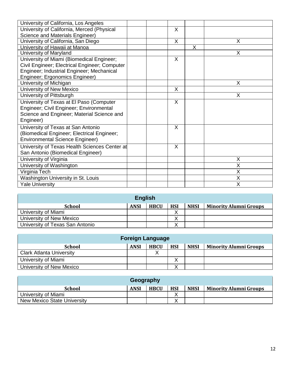| University of California, Los Angeles         |  |   |              |   |
|-----------------------------------------------|--|---|--------------|---|
| University of California, Merced (Physical    |  | X |              |   |
| Science and Materials Engineer)               |  |   |              |   |
| University of California, San Diego           |  | X |              | X |
| University of Hawaii at Manoa                 |  |   | $\mathsf{X}$ |   |
| University of Maryland                        |  |   |              | X |
| University of Miami (Biomedical Engineer;     |  | X |              |   |
| Civil Engineer; Electrical Engineer; Computer |  |   |              |   |
| Engineer; Industrial Engineer; Mechanical     |  |   |              |   |
| Engineer; Ergonomics Engineer)                |  |   |              |   |
| University of Michigan                        |  |   |              | X |
| University of New Mexico                      |  | X |              |   |
| University of Pittsburgh                      |  |   |              | X |
| University of Texas at El Paso (Computer      |  | X |              |   |
| Engineer; Civil Engineer; Environmental       |  |   |              |   |
| Science and Engineer; Material Science and    |  |   |              |   |
| Engineer)                                     |  |   |              |   |
| University of Texas at San Antonio            |  | X |              |   |
| (Biomedical Engineer; Electrical Engineer;    |  |   |              |   |
| <b>Environmental Science Engineer)</b>        |  |   |              |   |
| University of Texas Health Sciences Center at |  | X |              |   |
| San Antonio (Biomedical Engineer)             |  |   |              |   |
| University of Virginia                        |  |   |              | X |
| University of Washington                      |  |   |              | X |
| Virginia Tech                                 |  |   |              | X |
| Washington University in St. Louis            |  |   |              | X |
| <b>Yale University</b>                        |  |   |              | X |

| <b>English</b>                  |             |             |            |             |                               |  |  |  |
|---------------------------------|-------------|-------------|------------|-------------|-------------------------------|--|--|--|
| <b>School</b>                   | <b>ANSI</b> | <b>HBCU</b> | <b>HSI</b> | <b>NHSI</b> | <b>Minority Alumni Groups</b> |  |  |  |
| University of Miami             |             |             |            |             |                               |  |  |  |
| University of New Mexico        |             |             |            |             |                               |  |  |  |
| University of Texas San Antonio |             |             |            |             |                               |  |  |  |

| <b>Foreign Language</b>         |             |             |            |             |                               |  |  |
|---------------------------------|-------------|-------------|------------|-------------|-------------------------------|--|--|
| <b>School</b>                   | <b>ANSI</b> | <b>HBCU</b> | <b>HSI</b> | <b>NHSI</b> | <b>Minority Alumni Groups</b> |  |  |
| <b>Clark Atlanta University</b> |             |             |            |             |                               |  |  |
| University of Miami             |             |             |            |             |                               |  |  |
| University of New Mexico        |             |             |            |             |                               |  |  |

| Geography                          |             |             |            |             |                               |  |  |  |
|------------------------------------|-------------|-------------|------------|-------------|-------------------------------|--|--|--|
| <b>School</b>                      | <b>ANSI</b> | <b>HBCU</b> | <b>HSI</b> | <b>NHSI</b> | <b>Minority Alumni Groups</b> |  |  |  |
| University of Miami                |             |             |            |             |                               |  |  |  |
| <b>New Mexico State University</b> |             |             |            |             |                               |  |  |  |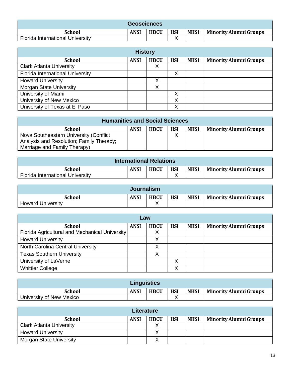| <b>Geosciences</b>                      |             |             |            |             |                               |  |  |
|-----------------------------------------|-------------|-------------|------------|-------------|-------------------------------|--|--|
| <b>School</b>                           | <b>ANSI</b> | <b>HBCU</b> | <b>HSI</b> | <b>NHSI</b> | <b>Minority Alumni Groups</b> |  |  |
| <b>Florida International University</b> |             |             |            |             |                               |  |  |

| <b>History</b>                   |             |             |            |             |                               |  |  |  |  |
|----------------------------------|-------------|-------------|------------|-------------|-------------------------------|--|--|--|--|
| <b>School</b>                    | <b>ANSI</b> | <b>HBCU</b> | <b>HSI</b> | <b>NHSI</b> | <b>Minority Alumni Groups</b> |  |  |  |  |
| <b>Clark Atlanta University</b>  |             | X           |            |             |                               |  |  |  |  |
| Florida International University |             |             | X          |             |                               |  |  |  |  |
| <b>Howard University</b>         |             | X           |            |             |                               |  |  |  |  |
| <b>Morgan State University</b>   |             | X           |            |             |                               |  |  |  |  |
| University of Miami              |             |             | X          |             |                               |  |  |  |  |
| University of New Mexico         |             |             | X          |             |                               |  |  |  |  |
| University of Texas at El Paso   |             |             | X          |             |                               |  |  |  |  |

| <b>Humanities and Social Sciences</b>    |             |             |            |             |                               |  |  |  |  |
|------------------------------------------|-------------|-------------|------------|-------------|-------------------------------|--|--|--|--|
| School                                   | <b>ANSI</b> | <b>HBCU</b> | <b>HSI</b> | <b>NHSI</b> | <b>Minority Alumni Groups</b> |  |  |  |  |
| Nova Southeastern University (Conflict   |             |             |            |             |                               |  |  |  |  |
| Analysis and Resolution; Family Therapy; |             |             |            |             |                               |  |  |  |  |
| Marriage and Family Therapy)             |             |             |            |             |                               |  |  |  |  |

| <b>International Relations</b>          |             |             |            |             |                        |  |  |  |
|-----------------------------------------|-------------|-------------|------------|-------------|------------------------|--|--|--|
| School                                  | <b>ANSI</b> | <b>HBCU</b> | <b>HSI</b> | <b>NHSI</b> | Minority Alumni Groups |  |  |  |
| <b>Florida International University</b> |             |             |            |             |                        |  |  |  |

| <b>Journalism</b>        |             |             |            |             |                        |  |  |  |
|--------------------------|-------------|-------------|------------|-------------|------------------------|--|--|--|
| School                   | <b>ANSI</b> | <b>HBCU</b> | <b>HSI</b> | <b>NHSI</b> | Minority Alumni Groups |  |  |  |
| <b>Howard University</b> |             |             |            |             |                        |  |  |  |

| Law                                            |             |             |            |             |                               |  |  |  |  |
|------------------------------------------------|-------------|-------------|------------|-------------|-------------------------------|--|--|--|--|
| <b>School</b>                                  | <b>ANSI</b> | <b>HBCU</b> | <b>HSI</b> | <b>NHSI</b> | <b>Minority Alumni Groups</b> |  |  |  |  |
| Florida Agricultural and Mechanical University |             | ◡           |            |             |                               |  |  |  |  |
| <b>Howard University</b>                       |             | X           |            |             |                               |  |  |  |  |
| North Carolina Central University              |             |             |            |             |                               |  |  |  |  |
| <b>Texas Southern University</b>               |             | v           |            |             |                               |  |  |  |  |
| University of LaVerne                          |             |             | Χ          |             |                               |  |  |  |  |
| <b>Whittier College</b>                        |             |             | Χ          |             |                               |  |  |  |  |

| <b>Linguistics</b>       |             |             |            |             |                               |  |  |  |  |
|--------------------------|-------------|-------------|------------|-------------|-------------------------------|--|--|--|--|
| <b>School</b>            | <b>ANSI</b> | <b>HBCU</b> | <b>HSI</b> | <b>NHSI</b> | <b>Minority Alumni Groups</b> |  |  |  |  |
| University of New Mexico |             |             |            |             |                               |  |  |  |  |

| <b>Literature</b>               |             |             |            |             |                               |  |  |  |  |
|---------------------------------|-------------|-------------|------------|-------------|-------------------------------|--|--|--|--|
| <b>School</b>                   | <b>ANSI</b> | <b>HBCU</b> | <b>HSI</b> | <b>NHSI</b> | <b>Minority Alumni Groups</b> |  |  |  |  |
| <b>Clark Atlanta University</b> |             |             |            |             |                               |  |  |  |  |
| <b>Howard University</b>        |             |             |            |             |                               |  |  |  |  |
| <b>Morgan State University</b>  |             |             |            |             |                               |  |  |  |  |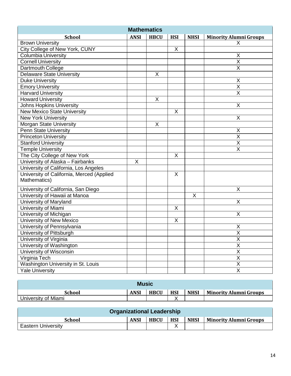| <b>Mathematics</b>                        |                         |             |            |             |                               |  |  |  |
|-------------------------------------------|-------------------------|-------------|------------|-------------|-------------------------------|--|--|--|
| <b>School</b>                             | <b>ANSI</b>             | <b>HBCU</b> | <b>HSI</b> | <b>NHSI</b> | <b>Minority Alumni Groups</b> |  |  |  |
| <b>Brown University</b>                   |                         |             |            |             | Х                             |  |  |  |
| City College of New York, CUNY            |                         |             | X          |             |                               |  |  |  |
| <b>Columbia University</b>                |                         |             |            |             | X                             |  |  |  |
| <b>Cornell University</b>                 |                         |             |            |             | $\overline{\mathsf{x}}$       |  |  |  |
| Dartmouth College                         |                         |             |            |             | $\overline{\mathsf{X}}$       |  |  |  |
| <b>Delaware State University</b>          |                         | $\mathsf X$ |            |             |                               |  |  |  |
| <b>Duke University</b>                    |                         |             |            |             | X                             |  |  |  |
| <b>Emory University</b>                   |                         |             |            |             | $\overline{X}$                |  |  |  |
| <b>Harvard University</b>                 |                         |             |            |             | $\overline{\mathsf{x}}$       |  |  |  |
| <b>Howard University</b>                  |                         | X           |            |             |                               |  |  |  |
| <b>Johns Hopkins University</b>           |                         |             |            |             | $\pmb{\mathsf{X}}$            |  |  |  |
| <b>New Mexico State University</b>        |                         |             | X          |             |                               |  |  |  |
| <b>New York University</b>                |                         |             |            |             | X                             |  |  |  |
| Morgan State University                   |                         | $\sf X$     |            |             |                               |  |  |  |
| <b>Penn State University</b>              |                         |             |            |             | Χ                             |  |  |  |
| <b>Princeton University</b>               |                         |             |            |             | $\overline{\mathsf{x}}$       |  |  |  |
| <b>Stanford University</b>                |                         |             |            |             | X                             |  |  |  |
| <b>Temple University</b>                  |                         |             |            |             | X                             |  |  |  |
| The City College of New York              |                         |             | X          |             |                               |  |  |  |
| University of Alaska - Fairbanks          | $\overline{\mathsf{x}}$ |             |            |             |                               |  |  |  |
| University of California, Los Angeles     |                         |             |            |             |                               |  |  |  |
| University of California, Merced (Applied |                         |             | X          |             |                               |  |  |  |
| Mathematics)                              |                         |             |            |             |                               |  |  |  |
| University of California, San Diego       |                         |             |            |             | X                             |  |  |  |
| University of Hawaii at Manoa             |                         |             |            | X           |                               |  |  |  |
| University of Maryland                    |                         |             |            |             | X                             |  |  |  |
| University of Miami                       |                         |             | Χ          |             |                               |  |  |  |
| University of Michigan                    |                         |             |            |             | X                             |  |  |  |
| University of New Mexico                  |                         |             | X          |             |                               |  |  |  |
| University of Pennsylvania                |                         |             |            |             | X                             |  |  |  |
| University of Pittsburgh                  |                         |             |            |             | $\overline{\mathsf{x}}$       |  |  |  |
| University of Virginia                    |                         |             |            |             | X                             |  |  |  |
| University of Washington                  |                         |             |            |             | $\overline{\mathsf{x}}$       |  |  |  |
| University of Wisconsin                   |                         |             |            |             | $\overline{\mathsf{X}}$       |  |  |  |
| Virginia Tech                             |                         |             |            |             | $\overline{\mathsf{X}}$       |  |  |  |
| Washington University in St. Louis        |                         |             |            |             | $\mathsf X$                   |  |  |  |
| <b>Yale University</b>                    |                         |             |            |             | $\overline{\mathsf{X}}$       |  |  |  |

| <b>Music</b>        |             |             |            |             |                        |  |  |  |  |
|---------------------|-------------|-------------|------------|-------------|------------------------|--|--|--|--|
| <b>School</b>       | <b>ANSI</b> | <b>HBCU</b> | <b>HSI</b> | <b>NHSI</b> | Minority Alumni Groups |  |  |  |  |
| University of Miami |             |             |            |             |                        |  |  |  |  |

| <b>Organizational Leadership</b> |             |             |            |             |                               |  |  |  |
|----------------------------------|-------------|-------------|------------|-------------|-------------------------------|--|--|--|
| <b>School</b>                    | <b>ANSI</b> | <b>HBCU</b> | <b>HSI</b> | <b>NHSI</b> | <b>Minority Alumni Groups</b> |  |  |  |
| <b>Eastern University</b>        |             |             |            |             |                               |  |  |  |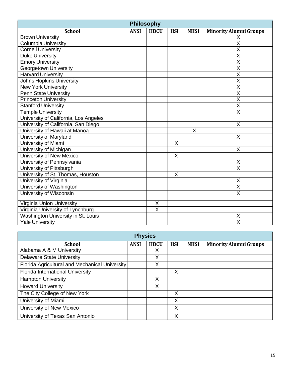| <b>Philosophy</b>                     |             |                         |                         |             |                               |  |  |  |  |
|---------------------------------------|-------------|-------------------------|-------------------------|-------------|-------------------------------|--|--|--|--|
| <b>School</b>                         | <b>ANSI</b> | <b>HBCU</b>             | <b>HSI</b>              | <b>NHSI</b> | <b>Minority Alumni Groups</b> |  |  |  |  |
| <b>Brown University</b>               |             |                         |                         |             | X                             |  |  |  |  |
| <b>Columbia University</b>            |             |                         |                         |             | $\overline{\mathsf{x}}$       |  |  |  |  |
| <b>Cornell University</b>             |             |                         |                         |             | $\overline{\mathsf{x}}$       |  |  |  |  |
| <b>Duke University</b>                |             |                         |                         |             | $\overline{\mathsf{x}}$       |  |  |  |  |
| <b>Emory University</b>               |             |                         |                         |             | $\overline{\mathsf{x}}$       |  |  |  |  |
| <b>Georgetown University</b>          |             |                         |                         |             | X                             |  |  |  |  |
| <b>Harvard University</b>             |             |                         |                         |             | $\overline{\mathsf{X}}$       |  |  |  |  |
| <b>Johns Hopkins University</b>       |             |                         |                         |             | $\overline{\mathsf{x}}$       |  |  |  |  |
| <b>New York University</b>            |             |                         |                         |             | $\overline{\mathsf{X}}$       |  |  |  |  |
| <b>Penn State University</b>          |             |                         |                         |             | $\overline{\mathsf{X}}$       |  |  |  |  |
| <b>Princeton University</b>           |             |                         |                         |             | $\overline{\mathsf{x}}$       |  |  |  |  |
| <b>Stanford University</b>            |             |                         |                         |             | $\overline{\mathsf{X}}$       |  |  |  |  |
| <b>Temple University</b>              |             |                         |                         |             | $\overline{\mathsf{X}}$       |  |  |  |  |
| University of California, Los Angeles |             |                         |                         |             |                               |  |  |  |  |
| University of California, San Diego   |             |                         |                         |             | X                             |  |  |  |  |
| University of Hawaii at Manoa         |             |                         |                         | X           |                               |  |  |  |  |
| University of Maryland                |             |                         |                         |             | X                             |  |  |  |  |
| University of Miami                   |             |                         | $\overline{\mathsf{X}}$ |             |                               |  |  |  |  |
| University of Michigan                |             |                         |                         |             | X                             |  |  |  |  |
| University of New Mexico              |             |                         | X                       |             |                               |  |  |  |  |
| University of Pennsylvania            |             |                         |                         |             | X                             |  |  |  |  |
| University of Pittsburgh              |             |                         |                         |             | $\overline{\mathsf{X}}$       |  |  |  |  |
| University of St. Thomas, Houston     |             |                         | X                       |             |                               |  |  |  |  |
| University of Virginia                |             |                         |                         |             | Χ                             |  |  |  |  |
| University of Washington              |             |                         |                         |             | $\overline{\mathsf{x}}$       |  |  |  |  |
| University of Wisconsin               |             |                         |                         |             | $\overline{\mathsf{x}}$       |  |  |  |  |
| Virginia Union University             |             | X                       |                         |             |                               |  |  |  |  |
| Virginia University of Lynchburg      |             | $\overline{\mathsf{x}}$ |                         |             |                               |  |  |  |  |
| Washington University in St. Louis    |             |                         |                         |             | X                             |  |  |  |  |
| <b>Yale University</b>                |             |                         |                         |             | $\overline{\mathsf{x}}$       |  |  |  |  |

| <b>Physics</b>                                 |             |             |            |             |                               |  |  |  |  |  |
|------------------------------------------------|-------------|-------------|------------|-------------|-------------------------------|--|--|--|--|--|
| <b>School</b>                                  | <b>ANSI</b> | <b>HBCU</b> | <b>HSI</b> | <b>NHSI</b> | <b>Minority Alumni Groups</b> |  |  |  |  |  |
| Alabama A & M University                       |             | X           |            |             |                               |  |  |  |  |  |
| <b>Delaware State University</b>               |             | X           |            |             |                               |  |  |  |  |  |
| Florida Agricultural and Mechanical University |             | Х           |            |             |                               |  |  |  |  |  |
| Florida International University               |             |             | X          |             |                               |  |  |  |  |  |
| <b>Hampton University</b>                      |             | X           |            |             |                               |  |  |  |  |  |
| <b>Howard University</b>                       |             | X           |            |             |                               |  |  |  |  |  |
| The City College of New York                   |             |             | X          |             |                               |  |  |  |  |  |
| University of Miami                            |             |             | X          |             |                               |  |  |  |  |  |
| University of New Mexico                       |             |             | X          |             |                               |  |  |  |  |  |
| University of Texas San Antonio                |             |             | X          |             |                               |  |  |  |  |  |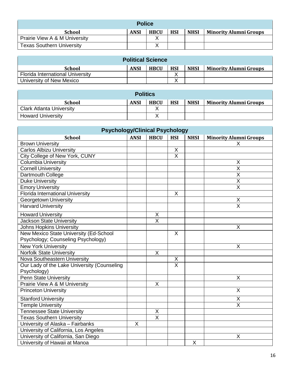| <b>Police</b>                    |             |             |            |             |                               |  |  |  |  |
|----------------------------------|-------------|-------------|------------|-------------|-------------------------------|--|--|--|--|
| <b>School</b>                    | <b>ANSI</b> | <b>HBCU</b> | <b>HSI</b> | <b>NHSI</b> | <b>Minority Alumni Groups</b> |  |  |  |  |
| Prairie View A & M University    |             |             |            |             |                               |  |  |  |  |
| <b>Texas Southern University</b> |             |             |            |             |                               |  |  |  |  |

| <b>Political Science</b>                |             |             |            |             |                               |  |  |  |  |
|-----------------------------------------|-------------|-------------|------------|-------------|-------------------------------|--|--|--|--|
| <b>School</b>                           | <b>ANSI</b> | <b>HBCU</b> | <b>HSI</b> | <b>NHSI</b> | <b>Minority Alumni Groups</b> |  |  |  |  |
| <b>Florida International University</b> |             |             |            |             |                               |  |  |  |  |
| University of New Mexico                |             |             |            |             |                               |  |  |  |  |

| <b>Politics</b>                 |             |             |            |             |                               |  |  |  |  |
|---------------------------------|-------------|-------------|------------|-------------|-------------------------------|--|--|--|--|
| <b>School</b>                   | <b>ANSI</b> | <b>HBCU</b> | <b>HSI</b> | <b>NHSI</b> | <b>Minority Alumni Groups</b> |  |  |  |  |
| <b>Clark Atlanta University</b> |             |             |            |             |                               |  |  |  |  |
| <b>Howard University</b>        |             |             |            |             |                               |  |  |  |  |

| <b>Psychology/Clinical Psychology</b>       |             |                         |                         |             |                               |  |  |  |
|---------------------------------------------|-------------|-------------------------|-------------------------|-------------|-------------------------------|--|--|--|
| <b>School</b>                               | <b>ANSI</b> | <b>HBCU</b>             | <b>HSI</b>              | <b>NHSI</b> | <b>Minority Alumni Groups</b> |  |  |  |
| <b>Brown University</b>                     |             |                         |                         |             | X.                            |  |  |  |
| <b>Carlos Albizu University</b>             |             |                         | X                       |             |                               |  |  |  |
| City College of New York, CUNY              |             |                         | $\overline{\mathsf{x}}$ |             |                               |  |  |  |
| <b>Columbia University</b>                  |             |                         |                         |             | Χ                             |  |  |  |
| <b>Cornell University</b>                   |             |                         |                         |             | $\overline{\mathsf{x}}$       |  |  |  |
| Dartmouth College                           |             |                         |                         |             | $\overline{\mathsf{x}}$       |  |  |  |
| <b>Duke University</b>                      |             |                         |                         |             | $\overline{X}$                |  |  |  |
| <b>Emory University</b>                     |             |                         |                         |             | $\overline{\mathsf{x}}$       |  |  |  |
| <b>Florida International University</b>     |             |                         | X                       |             |                               |  |  |  |
| Georgetown University                       |             |                         |                         |             | Χ                             |  |  |  |
| <b>Harvard University</b>                   |             |                         |                         |             | $\overline{\mathsf{x}}$       |  |  |  |
| <b>Howard University</b>                    |             | $\mathsf X$             |                         |             |                               |  |  |  |
| <b>Jackson State University</b>             |             | $\overline{\mathsf{x}}$ |                         |             |                               |  |  |  |
| <b>Johns Hopkins University</b>             |             |                         |                         |             | X                             |  |  |  |
| New Mexico State University (Ed-School      |             |                         | X                       |             |                               |  |  |  |
| Psychology; Counseling Psychology)          |             |                         |                         |             |                               |  |  |  |
| <b>New York University</b>                  |             |                         |                         |             | X                             |  |  |  |
| <b>Norfolk State University</b>             |             | $\sf X$                 |                         |             |                               |  |  |  |
| Nova Southeastern University                |             |                         | $\overline{\mathsf{x}}$ |             |                               |  |  |  |
| Our Lady of the Lake University (Counseling |             |                         | $\overline{\mathsf{x}}$ |             |                               |  |  |  |
| Psychology)                                 |             |                         |                         |             |                               |  |  |  |
| <b>Penn State University</b>                |             |                         |                         |             | X                             |  |  |  |
| Prairie View A & M University               |             | X                       |                         |             |                               |  |  |  |
| <b>Princeton University</b>                 |             |                         |                         |             | X                             |  |  |  |
| <b>Stanford University</b>                  |             |                         |                         |             | Χ                             |  |  |  |
| <b>Temple University</b>                    |             |                         |                         |             | $\overline{\mathsf{x}}$       |  |  |  |
| <b>Tennessee State University</b>           |             | $\mathsf X$             |                         |             |                               |  |  |  |
| <b>Texas Southern University</b>            |             | $\overline{X}$          |                         |             |                               |  |  |  |
| University of Alaska - Fairbanks            | X           |                         |                         |             |                               |  |  |  |
| University of California, Los Angeles       |             |                         |                         |             |                               |  |  |  |
| University of California, San Diego         |             |                         |                         |             | X                             |  |  |  |
| University of Hawaii at Manoa               |             |                         |                         | $\mathsf X$ |                               |  |  |  |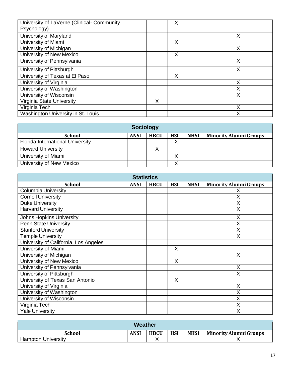| University of LaVerne (Clinical- Community<br>Psychology) |   | X |   |
|-----------------------------------------------------------|---|---|---|
|                                                           |   |   |   |
| University of Maryland                                    |   |   | Х |
| University of Miami                                       |   | X |   |
| University of Michigan                                    |   |   | Х |
| University of New Mexico                                  |   | X |   |
| University of Pennsylvania                                |   |   | X |
| University of Pittsburgh                                  |   |   | Χ |
| University of Texas at El Paso                            |   | X |   |
| University of Virginia                                    |   |   | х |
| University of Washington                                  |   |   |   |
| University of Wisconsin                                   |   |   | X |
| Virginia State University                                 | Χ |   |   |
| Virginia Tech                                             |   |   | х |
| Washington University in St. Louis                        |   |   | Χ |

| <b>Sociology</b>                        |             |             |            |             |                               |  |  |  |  |
|-----------------------------------------|-------------|-------------|------------|-------------|-------------------------------|--|--|--|--|
| <b>School</b>                           | <b>ANSI</b> | <b>HBCU</b> | <b>HSI</b> | <b>NHSI</b> | <b>Minority Alumni Groups</b> |  |  |  |  |
| <b>Florida International University</b> |             |             | ∧          |             |                               |  |  |  |  |
| <b>Howard University</b>                |             | ⌒           |            |             |                               |  |  |  |  |
| University of Miami                     |             |             | ∧          |             |                               |  |  |  |  |
| University of New Mexico                |             |             |            |             |                               |  |  |  |  |

| <b>Statistics</b>                     |             |             |            |             |                               |  |  |  |  |  |
|---------------------------------------|-------------|-------------|------------|-------------|-------------------------------|--|--|--|--|--|
| <b>School</b>                         | <b>ANSI</b> | <b>HBCU</b> | <b>HSI</b> | <b>NHSI</b> | <b>Minority Alumni Groups</b> |  |  |  |  |  |
| <b>Columbia University</b>            |             |             |            |             |                               |  |  |  |  |  |
| <b>Cornell University</b>             |             |             |            |             | X                             |  |  |  |  |  |
| <b>Duke University</b>                |             |             |            |             | X                             |  |  |  |  |  |
| <b>Harvard University</b>             |             |             |            |             | X                             |  |  |  |  |  |
| <b>Johns Hopkins University</b>       |             |             |            |             | X                             |  |  |  |  |  |
| <b>Penn State University</b>          |             |             |            |             | X                             |  |  |  |  |  |
| <b>Stanford University</b>            |             |             |            |             | X                             |  |  |  |  |  |
| <b>Temple University</b>              |             |             |            |             | Χ                             |  |  |  |  |  |
| University of California, Los Angeles |             |             |            |             |                               |  |  |  |  |  |
| University of Miami                   |             |             | X          |             |                               |  |  |  |  |  |
| University of Michigan                |             |             |            |             | X                             |  |  |  |  |  |
| University of New Mexico              |             |             | X          |             |                               |  |  |  |  |  |
| University of Pennsylvania            |             |             |            |             | X                             |  |  |  |  |  |
| University of Pittsburgh              |             |             |            |             | X                             |  |  |  |  |  |
| University of Texas San Antonio       |             |             | X          |             |                               |  |  |  |  |  |
| University of Virginia                |             |             |            |             | X                             |  |  |  |  |  |
| University of Washington              |             |             |            |             | X                             |  |  |  |  |  |
| University of Wisconsin               |             |             |            |             | X                             |  |  |  |  |  |
| Virginia Tech                         |             |             |            |             | X                             |  |  |  |  |  |
| <b>Yale University</b>                |             |             |            |             | Χ                             |  |  |  |  |  |

| Weather                   |             |             |            |             |                               |  |  |  |  |
|---------------------------|-------------|-------------|------------|-------------|-------------------------------|--|--|--|--|
| <b>School</b>             | <b>ANSI</b> | <b>HBCU</b> | <b>HSI</b> | <b>NHSI</b> | <b>Minority Alumni Groups</b> |  |  |  |  |
| <b>Hampton University</b> |             |             |            |             |                               |  |  |  |  |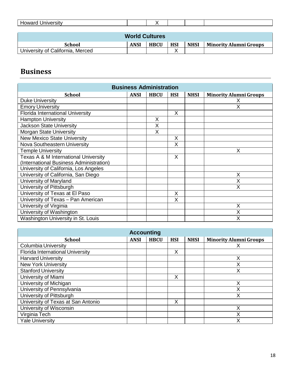| <b>Howard University</b> |  |  |  |  |  |  |  |  |  |
|--------------------------|--|--|--|--|--|--|--|--|--|
|                          |  |  |  |  |  |  |  |  |  |
| <b>World Cultures</b>    |  |  |  |  |  |  |  |  |  |

| .                                |             |             |            |             |                        |  |  |  |  |
|----------------------------------|-------------|-------------|------------|-------------|------------------------|--|--|--|--|
| School                           | <b>ANSI</b> | <b>HBCU</b> | <b>HSI</b> | <b>NHSI</b> | Minority Alumni Groups |  |  |  |  |
| University of California, Merced |             |             |            |             |                        |  |  |  |  |

## <span id="page-17-0"></span>**Business**

| <b>Business Administration</b>          |             |             |            |             |                               |  |  |  |  |
|-----------------------------------------|-------------|-------------|------------|-------------|-------------------------------|--|--|--|--|
| <b>School</b>                           | <b>ANSI</b> | <b>HBCU</b> | <b>HSI</b> | <b>NHSI</b> | <b>Minority Alumni Groups</b> |  |  |  |  |
| <b>Duke University</b>                  |             |             |            |             | X                             |  |  |  |  |
| <b>Emory University</b>                 |             |             |            |             | Χ                             |  |  |  |  |
| <b>Florida International University</b> |             |             | X          |             |                               |  |  |  |  |
| <b>Hampton University</b>               |             | X           |            |             |                               |  |  |  |  |
| Jackson State University                |             | X           |            |             |                               |  |  |  |  |
| Morgan State University                 |             | X           |            |             |                               |  |  |  |  |
| <b>New Mexico State University</b>      |             |             | X          |             |                               |  |  |  |  |
| Nova Southeastern University            |             |             | X          |             |                               |  |  |  |  |
| <b>Temple University</b>                |             |             |            |             | X                             |  |  |  |  |
| Texas A & M International University    |             |             | X          |             |                               |  |  |  |  |
| (International Business Administration) |             |             |            |             |                               |  |  |  |  |
| University of California, Los Angeles   |             |             |            |             |                               |  |  |  |  |
| University of California, San Diego     |             |             |            |             | X                             |  |  |  |  |
| University of Maryland                  |             |             |            |             | X                             |  |  |  |  |
| University of Pittsburgh                |             |             |            |             | X                             |  |  |  |  |
| University of Texas at El Paso          |             |             | X          |             |                               |  |  |  |  |
| University of Texas - Pan American      |             |             | X          |             |                               |  |  |  |  |
| University of Virginia                  |             |             |            |             | X                             |  |  |  |  |
| University of Washington                |             |             |            |             | Χ                             |  |  |  |  |
| Washington University in St. Louis      |             |             |            |             | Χ                             |  |  |  |  |

| <b>Accounting</b>                       |             |             |            |             |                               |  |  |  |  |
|-----------------------------------------|-------------|-------------|------------|-------------|-------------------------------|--|--|--|--|
| <b>School</b>                           | <b>ANSI</b> | <b>HBCU</b> | <b>HSI</b> | <b>NHSI</b> | <b>Minority Alumni Groups</b> |  |  |  |  |
| <b>Columbia University</b>              |             |             |            |             |                               |  |  |  |  |
| <b>Florida International University</b> |             |             | X          |             |                               |  |  |  |  |
| <b>Harvard University</b>               |             |             |            |             |                               |  |  |  |  |
| <b>New York University</b>              |             |             |            |             |                               |  |  |  |  |
| <b>Stanford University</b>              |             |             |            |             | Х                             |  |  |  |  |
| University of Miami                     |             |             | X          |             |                               |  |  |  |  |
| University of Michigan                  |             |             |            |             | Χ                             |  |  |  |  |
| University of Pennsylvania              |             |             |            |             |                               |  |  |  |  |
| University of Pittsburgh                |             |             |            |             | Х                             |  |  |  |  |
| University of Texas at San Antonio      |             |             | X          |             |                               |  |  |  |  |
| University of Wisconsin                 |             |             |            |             | Χ                             |  |  |  |  |
| Virginia Tech                           |             |             |            |             | Х                             |  |  |  |  |
| <b>Yale University</b>                  |             |             |            |             |                               |  |  |  |  |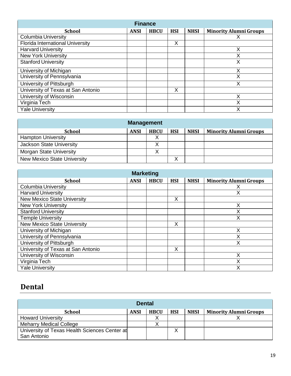| <b>Finance</b>                          |             |             |            |             |                               |  |  |  |  |
|-----------------------------------------|-------------|-------------|------------|-------------|-------------------------------|--|--|--|--|
| <b>School</b>                           | <b>ANSI</b> | <b>HBCU</b> | <b>HSI</b> | <b>NHSI</b> | <b>Minority Alumni Groups</b> |  |  |  |  |
| Columbia University                     |             |             |            |             |                               |  |  |  |  |
| <b>Florida International University</b> |             |             | X          |             |                               |  |  |  |  |
| <b>Harvard University</b>               |             |             |            |             |                               |  |  |  |  |
| <b>New York University</b>              |             |             |            |             |                               |  |  |  |  |
| <b>Stanford University</b>              |             |             |            |             | Χ                             |  |  |  |  |
| University of Michigan                  |             |             |            |             | х                             |  |  |  |  |
| University of Pennsylvania              |             |             |            |             | Χ                             |  |  |  |  |
| University of Pittsburgh                |             |             |            |             |                               |  |  |  |  |
| University of Texas at San Antonio      |             |             | X          |             |                               |  |  |  |  |
| University of Wisconsin                 |             |             |            |             |                               |  |  |  |  |
| Virginia Tech                           |             |             |            |             | Χ                             |  |  |  |  |
| <b>Yale University</b>                  |             |             |            |             | х                             |  |  |  |  |

| <b>Management</b>                  |             |             |            |             |                               |  |  |  |  |
|------------------------------------|-------------|-------------|------------|-------------|-------------------------------|--|--|--|--|
| <b>School</b>                      | <b>ANSI</b> | <b>HBCU</b> | <b>HSI</b> | <b>NHSI</b> | <b>Minority Alumni Groups</b> |  |  |  |  |
| <b>Hampton University</b>          |             | v           |            |             |                               |  |  |  |  |
| Jackson State University           |             | v           |            |             |                               |  |  |  |  |
| <b>Morgan State University</b>     |             |             |            |             |                               |  |  |  |  |
| <b>New Mexico State University</b> |             |             | v<br>↗     |             |                               |  |  |  |  |

| <b>Marketing</b>                   |             |             |            |             |                               |  |  |  |  |
|------------------------------------|-------------|-------------|------------|-------------|-------------------------------|--|--|--|--|
| <b>School</b>                      | <b>ANSI</b> | <b>HBCU</b> | <b>HSI</b> | <b>NHSI</b> | <b>Minority Alumni Groups</b> |  |  |  |  |
| <b>Columbia University</b>         |             |             |            |             |                               |  |  |  |  |
| <b>Harvard University</b>          |             |             |            |             | Χ                             |  |  |  |  |
| <b>New Mexico State University</b> |             |             | X          |             |                               |  |  |  |  |
| <b>New York University</b>         |             |             |            |             | Χ                             |  |  |  |  |
| <b>Stanford University</b>         |             |             |            |             |                               |  |  |  |  |
| <b>Temple University</b>           |             |             |            |             |                               |  |  |  |  |
| <b>New Mexico State University</b> |             |             | X          |             |                               |  |  |  |  |
| University of Michigan             |             |             |            |             | х                             |  |  |  |  |
| University of Pennsylvania         |             |             |            |             |                               |  |  |  |  |
| University of Pittsburgh           |             |             |            |             | X                             |  |  |  |  |
| University of Texas at San Antonio |             |             | Χ          |             |                               |  |  |  |  |
| University of Wisconsin            |             |             |            |             | Χ                             |  |  |  |  |
| Virginia Tech                      |             |             |            |             |                               |  |  |  |  |
| <b>Yale University</b>             |             |             |            |             |                               |  |  |  |  |

## <span id="page-18-0"></span>**Dental**

| <b>Dental</b>                                                |             |             |            |             |                               |  |  |  |  |
|--------------------------------------------------------------|-------------|-------------|------------|-------------|-------------------------------|--|--|--|--|
| <b>School</b>                                                | <b>ANSI</b> | <b>HBCU</b> | <b>HSI</b> | <b>NHSI</b> | <b>Minority Alumni Groups</b> |  |  |  |  |
| <b>Howard University</b>                                     |             |             |            |             |                               |  |  |  |  |
| <b>Meharry Medical College</b>                               |             |             |            |             |                               |  |  |  |  |
| University of Texas Health Sciences Center at<br>San Antonio |             |             | ∧          |             |                               |  |  |  |  |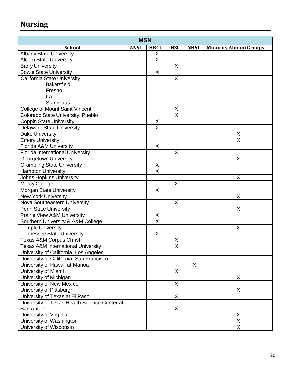# **Nursing**

| <b>MSN</b>                                    |             |                         |                         |             |                               |  |  |  |
|-----------------------------------------------|-------------|-------------------------|-------------------------|-------------|-------------------------------|--|--|--|
| <b>School</b>                                 | <b>ANSI</b> | <b>HBCU</b>             | <b>HSI</b>              | <b>NHSI</b> | <b>Minority Alumni Groups</b> |  |  |  |
| <b>Albany State University</b>                |             | X                       |                         |             |                               |  |  |  |
| <b>Alcorn State University</b>                |             | $\overline{\mathsf{x}}$ |                         |             |                               |  |  |  |
| <b>Barry University</b>                       |             |                         | X                       |             |                               |  |  |  |
| <b>Bowie State University</b>                 |             | X                       |                         |             |                               |  |  |  |
| <b>California State University</b>            |             |                         | $\pmb{\times}$          |             |                               |  |  |  |
| <b>Bakersfield</b>                            |             |                         |                         |             |                               |  |  |  |
| Fresno                                        |             |                         |                         |             |                               |  |  |  |
| LA                                            |             |                         |                         |             |                               |  |  |  |
| <b>Stanislaus</b>                             |             |                         |                         |             |                               |  |  |  |
| <b>College of Mount Saint Vincent</b>         |             |                         | $\sf X$                 |             |                               |  |  |  |
| Colorado State University, Pueblo             |             |                         | $\overline{\mathsf{x}}$ |             |                               |  |  |  |
| <b>Coppin State University</b>                |             | X                       |                         |             |                               |  |  |  |
| <b>Delaware State University</b>              |             | $\overline{\mathsf{X}}$ |                         |             |                               |  |  |  |
| <b>Duke University</b>                        |             |                         |                         |             | $\mathsf X$                   |  |  |  |
| <b>Emory University</b>                       |             |                         |                         |             | $\overline{\mathsf{x}}$       |  |  |  |
| Florida A&M University                        |             | $\overline{X}$          |                         |             |                               |  |  |  |
| <b>Florida International University</b>       |             |                         | $\mathsf X$             |             |                               |  |  |  |
| <b>Georgetown University</b>                  |             |                         |                         |             | X                             |  |  |  |
| <b>Grambling State University</b>             |             | X                       |                         |             |                               |  |  |  |
| <b>Hampton University</b>                     |             | $\overline{\mathsf{x}}$ |                         |             |                               |  |  |  |
| <b>Johns Hopkins University</b>               |             |                         |                         |             | $\mathsf X$                   |  |  |  |
| <b>Mercy College</b>                          |             |                         | X                       |             |                               |  |  |  |
| Morgan State University                       |             | X                       |                         |             |                               |  |  |  |
| <b>New York University</b>                    |             |                         |                         |             | X                             |  |  |  |
| Nova Southeastern University                  |             |                         | X                       |             |                               |  |  |  |
| Penn State University                         |             |                         |                         |             | X                             |  |  |  |
| <b>Prairie View A&amp;M University</b>        |             | Χ                       |                         |             |                               |  |  |  |
| Southern University & A&M College             |             | $\overline{\mathsf{x}}$ |                         |             |                               |  |  |  |
| <b>Temple University</b>                      |             |                         |                         |             | X                             |  |  |  |
| <b>Tennessee State University</b>             |             | X                       |                         |             |                               |  |  |  |
| Texas A&M Corpus Christi                      |             |                         | X                       |             |                               |  |  |  |
| <b>Texas A&amp;M International University</b> |             |                         | $\overline{\mathsf{x}}$ |             |                               |  |  |  |
| University of California, Los Angeles         |             |                         |                         |             |                               |  |  |  |
| University of California, San Francisco       |             |                         |                         |             |                               |  |  |  |
| University of Hawaii at Manoa                 |             |                         |                         | X           |                               |  |  |  |
| University of Miami                           |             |                         | $\sf X$                 |             |                               |  |  |  |
| University of Michigan                        |             |                         |                         |             | X                             |  |  |  |
| University of New Mexico                      |             |                         | X                       |             |                               |  |  |  |
| University of Pittsburgh                      |             |                         |                         |             | X                             |  |  |  |
| University of Texas at El Paso                |             |                         | X                       |             |                               |  |  |  |
| University of Texas Health Science Center at  |             |                         |                         |             |                               |  |  |  |
| San Antonio                                   |             |                         | X                       |             |                               |  |  |  |
| University of Virginia                        |             |                         |                         |             | $\mathsf X$                   |  |  |  |
| University of Washington                      |             |                         |                         |             | $\overline{\mathsf{x}}$       |  |  |  |
| University of Wisconsin                       |             |                         |                         |             | $\overline{\mathsf{x}}$       |  |  |  |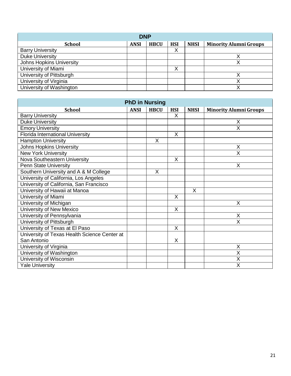| <b>DNP</b>                      |             |             |            |             |                               |  |  |  |  |
|---------------------------------|-------------|-------------|------------|-------------|-------------------------------|--|--|--|--|
| <b>School</b>                   | <b>ANSI</b> | <b>HBCU</b> | <b>HSI</b> | <b>NHSI</b> | <b>Minority Alumni Groups</b> |  |  |  |  |
| <b>Barry University</b>         |             |             | Χ          |             |                               |  |  |  |  |
| <b>Duke University</b>          |             |             |            |             |                               |  |  |  |  |
| <b>Johns Hopkins University</b> |             |             |            |             |                               |  |  |  |  |
| University of Miami             |             |             | Χ          |             |                               |  |  |  |  |
| University of Pittsburgh        |             |             |            |             |                               |  |  |  |  |
| University of Virginia          |             |             |            |             |                               |  |  |  |  |
| University of Washington        |             |             |            |             |                               |  |  |  |  |

| <b>PhD in Nursing</b>                        |             |             |            |                |                               |  |  |  |  |
|----------------------------------------------|-------------|-------------|------------|----------------|-------------------------------|--|--|--|--|
| <b>School</b>                                | <b>ANSI</b> | <b>HBCU</b> | <b>HSI</b> | <b>NHSI</b>    | <b>Minority Alumni Groups</b> |  |  |  |  |
| <b>Barry University</b>                      |             |             | X          |                |                               |  |  |  |  |
| <b>Duke University</b>                       |             |             |            |                | X                             |  |  |  |  |
| <b>Emory University</b>                      |             |             |            |                | $\overline{\mathsf{x}}$       |  |  |  |  |
| <b>Florida International University</b>      |             |             | X          |                |                               |  |  |  |  |
| <b>Hampton University</b>                    |             | X           |            |                |                               |  |  |  |  |
| <b>Johns Hopkins University</b>              |             |             |            |                | X                             |  |  |  |  |
| <b>New York University</b>                   |             |             |            |                | X                             |  |  |  |  |
| Nova Southeastern University                 |             |             | X          |                |                               |  |  |  |  |
| <b>Penn State University</b>                 |             |             |            |                | X                             |  |  |  |  |
| Southern University and A & M College        |             | X           |            |                |                               |  |  |  |  |
| University of California, Los Angeles        |             |             |            |                |                               |  |  |  |  |
| University of California, San Francisco      |             |             |            |                |                               |  |  |  |  |
| University of Hawaii at Manoa                |             |             |            | $\overline{X}$ |                               |  |  |  |  |
| University of Miami                          |             |             | $\sf X$    |                |                               |  |  |  |  |
| University of Michigan                       |             |             |            |                | X                             |  |  |  |  |
| University of New Mexico                     |             |             | X          |                |                               |  |  |  |  |
| University of Pennsylvania                   |             |             |            |                | X                             |  |  |  |  |
| University of Pittsburgh                     |             |             |            |                | X                             |  |  |  |  |
| University of Texas at El Paso               |             |             | X          |                |                               |  |  |  |  |
| University of Texas Health Science Center at |             |             |            |                |                               |  |  |  |  |
| San Antonio                                  |             |             | X          |                |                               |  |  |  |  |
| University of Virginia                       |             |             |            |                | X                             |  |  |  |  |
| University of Washington                     |             |             |            |                | X                             |  |  |  |  |
| University of Wisconsin                      |             |             |            |                | $\overline{\mathsf{x}}$       |  |  |  |  |
| <b>Yale University</b>                       |             |             |            |                | $\overline{\mathsf{x}}$       |  |  |  |  |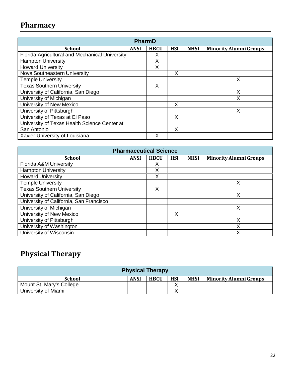# <span id="page-21-0"></span>**Pharmacy**

| PharmD                                         |             |             |            |             |                               |  |  |  |  |  |
|------------------------------------------------|-------------|-------------|------------|-------------|-------------------------------|--|--|--|--|--|
| <b>School</b>                                  | <b>ANSI</b> | <b>HBCU</b> | <b>HSI</b> | <b>NHSI</b> | <b>Minority Alumni Groups</b> |  |  |  |  |  |
| Florida Agricultural and Mechanical University |             | х           |            |             |                               |  |  |  |  |  |
| <b>Hampton University</b>                      |             | X           |            |             |                               |  |  |  |  |  |
| <b>Howard University</b>                       |             | Χ           |            |             |                               |  |  |  |  |  |
| Nova Southeastern University                   |             |             | X          |             |                               |  |  |  |  |  |
| <b>Temple University</b>                       |             |             |            |             | Χ                             |  |  |  |  |  |
| <b>Texas Southern University</b>               |             | X           |            |             |                               |  |  |  |  |  |
| University of California, San Diego            |             |             |            |             | Χ                             |  |  |  |  |  |
| University of Michigan                         |             |             |            |             | Χ                             |  |  |  |  |  |
| University of New Mexico                       |             |             | X          |             |                               |  |  |  |  |  |
| University of Pittsburgh                       |             |             |            |             | Χ                             |  |  |  |  |  |
| University of Texas at El Paso                 |             |             | X          |             |                               |  |  |  |  |  |
| University of Texas Health Science Center at   |             |             |            |             |                               |  |  |  |  |  |
| San Antonio                                    |             |             | X          |             |                               |  |  |  |  |  |
| Xavier University of Louisiana                 |             | Χ           |            |             |                               |  |  |  |  |  |

| <b>Pharmaceutical Science</b>           |             |             |            |             |                               |  |  |  |  |
|-----------------------------------------|-------------|-------------|------------|-------------|-------------------------------|--|--|--|--|
| <b>School</b>                           | <b>ANSI</b> | <b>HBCU</b> | <b>HSI</b> | <b>NHSI</b> | <b>Minority Alumni Groups</b> |  |  |  |  |
| <b>Florida A&amp;M University</b>       |             |             |            |             |                               |  |  |  |  |
| <b>Hampton University</b>               |             | X           |            |             |                               |  |  |  |  |
| <b>Howard University</b>                |             | Χ           |            |             |                               |  |  |  |  |
| <b>Temple University</b>                |             |             |            |             | х                             |  |  |  |  |
| <b>Texas Southern University</b>        |             | X           |            |             |                               |  |  |  |  |
| University of California, San Diego     |             |             |            |             | x                             |  |  |  |  |
| University of California, San Francisco |             |             |            |             |                               |  |  |  |  |
| University of Michigan                  |             |             |            |             | x                             |  |  |  |  |
| University of New Mexico                |             |             | X          |             |                               |  |  |  |  |
| University of Pittsburgh                |             |             |            |             |                               |  |  |  |  |
| University of Washington                |             |             |            |             | х                             |  |  |  |  |
| University of Wisconsin                 |             |             |            |             |                               |  |  |  |  |

# **Physical Therapy**

<span id="page-21-1"></span>

| <b>Physical Therapy</b>  |             |             |            |             |                               |  |  |  |
|--------------------------|-------------|-------------|------------|-------------|-------------------------------|--|--|--|
| <b>School</b>            | <b>ANSI</b> | <b>HBCU</b> | <b>HSI</b> | <b>NHSI</b> | <b>Minority Alumni Groups</b> |  |  |  |
| Mount St. Mary's College |             |             |            |             |                               |  |  |  |
| University of Miami      |             |             |            |             |                               |  |  |  |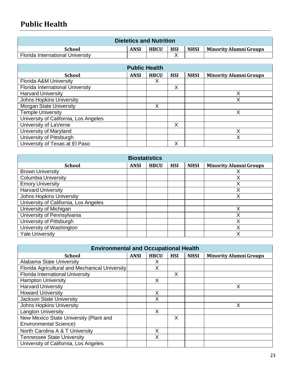### **Public Health**

| <b>Dietetics and Nutrition</b>          |             |             |            |             |                        |  |  |  |
|-----------------------------------------|-------------|-------------|------------|-------------|------------------------|--|--|--|
| School                                  | <b>ANSI</b> | <b>HBCU</b> | <b>HSI</b> | <b>NHSI</b> | Minority Alumni Groups |  |  |  |
| <b>Florida International University</b> |             |             |            |             |                        |  |  |  |

| <b>Public Health</b>                  |             |             |            |             |                               |  |  |  |  |
|---------------------------------------|-------------|-------------|------------|-------------|-------------------------------|--|--|--|--|
| <b>School</b>                         | <b>ANSI</b> | <b>HBCU</b> | <b>HSI</b> | <b>NHSI</b> | <b>Minority Alumni Groups</b> |  |  |  |  |
| Florida A&M University                |             | X           |            |             |                               |  |  |  |  |
| Florida International University      |             |             | Χ          |             |                               |  |  |  |  |
| <b>Harvard University</b>             |             |             |            |             |                               |  |  |  |  |
| <b>Johns Hopkins University</b>       |             |             |            |             | X                             |  |  |  |  |
| <b>Morgan State University</b>        |             | X           |            |             |                               |  |  |  |  |
| <b>Temple University</b>              |             |             |            |             | Χ                             |  |  |  |  |
| University of California, Los Angeles |             |             |            |             |                               |  |  |  |  |
| University of LaVerne                 |             |             | X          |             |                               |  |  |  |  |
| University of Maryland                |             |             |            |             | Х                             |  |  |  |  |
| University of Pittsburgh              |             |             |            |             |                               |  |  |  |  |
| University of Texas at El Paso        |             |             | X          |             |                               |  |  |  |  |

| <b>Biostatistics</b>                  |             |             |            |             |                               |  |
|---------------------------------------|-------------|-------------|------------|-------------|-------------------------------|--|
| <b>School</b>                         | <b>ANSI</b> | <b>HBCU</b> | <b>HSI</b> | <b>NHSI</b> | <b>Minority Alumni Groups</b> |  |
| <b>Brown University</b>               |             |             |            |             |                               |  |
| <b>Columbia University</b>            |             |             |            |             |                               |  |
| <b>Emory University</b>               |             |             |            |             | Χ                             |  |
| <b>Harvard University</b>             |             |             |            |             |                               |  |
| <b>Johns Hopkins University</b>       |             |             |            |             | Χ                             |  |
| University of California, Los Angeles |             |             |            |             |                               |  |
| University of Michigan                |             |             |            |             | x                             |  |
| University of Pennsylvania            |             |             |            |             |                               |  |
| University of Pittsburgh              |             |             |            |             | Χ                             |  |
| University of Washington              |             |             |            |             |                               |  |
| <b>Yale University</b>                |             |             |            |             |                               |  |

| <b>Environmental and Occupational Health</b>                            |             |             |            |             |                               |  |
|-------------------------------------------------------------------------|-------------|-------------|------------|-------------|-------------------------------|--|
| School                                                                  | <b>ANSI</b> | <b>HBCU</b> | <b>HSI</b> | <b>NHSI</b> | <b>Minority Alumni Groups</b> |  |
| Alabama State University                                                |             | Χ           |            |             |                               |  |
| Florida Agricultural and Mechanical University                          |             | X           |            |             |                               |  |
| <b>Florida International University</b>                                 |             |             | X          |             |                               |  |
| <b>Hampton University</b>                                               |             | X           |            |             |                               |  |
| <b>Harvard University</b>                                               |             |             |            |             | Χ                             |  |
| <b>Howard University</b>                                                |             | Χ           |            |             |                               |  |
| <b>Jackson State University</b>                                         |             | X           |            |             |                               |  |
| <b>Johns Hopkins University</b>                                         |             |             |            |             | Χ                             |  |
| <b>Langton University</b>                                               |             | X           |            |             |                               |  |
| New Mexico State University (Plant and<br><b>Environmental Science)</b> |             |             | X          |             |                               |  |
| North Carolina A & T University                                         |             | Χ           |            |             |                               |  |
| <b>Tennessee State University</b>                                       |             | X           |            |             |                               |  |
| University of California, Los Angeles                                   |             |             |            |             |                               |  |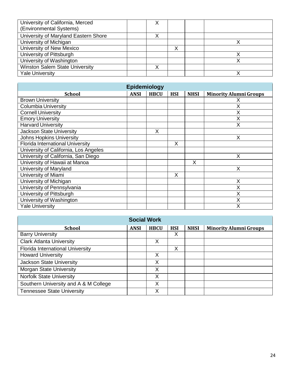| University of California, Merced<br>(Environmental Systems) |   |  |
|-------------------------------------------------------------|---|--|
| University of Maryland Eastern Shore                        |   |  |
| University of Michigan                                      |   |  |
| University of New Mexico                                    | ↗ |  |
| University of Pittsburgh                                    |   |  |
| University of Washington                                    |   |  |
| <b>Winston Salem State University</b>                       |   |  |
| <b>Yale University</b>                                      |   |  |

| Epidemiology                            |             |             |            |             |                               |
|-----------------------------------------|-------------|-------------|------------|-------------|-------------------------------|
| <b>School</b>                           | <b>ANSI</b> | <b>HBCU</b> | <b>HSI</b> | <b>NHSI</b> | <b>Minority Alumni Groups</b> |
| <b>Brown University</b>                 |             |             |            |             |                               |
| <b>Columbia University</b>              |             |             |            |             | Χ                             |
| <b>Cornell University</b>               |             |             |            |             | Χ                             |
| <b>Emory University</b>                 |             |             |            |             |                               |
| <b>Harvard University</b>               |             |             |            |             | x                             |
| Jackson State University                |             | X           |            |             |                               |
| <b>Johns Hopkins University</b>         |             |             |            |             | X                             |
| <b>Florida International University</b> |             |             | X          |             |                               |
| University of California, Los Angeles   |             |             |            |             |                               |
| University of California, San Diego     |             |             |            |             | X                             |
| University of Hawaii at Manoa           |             |             |            | X           |                               |
| University of Maryland                  |             |             |            |             | X                             |
| University of Miami                     |             |             | X          |             |                               |
| University of Michigan                  |             |             |            |             | X                             |
| University of Pennsylvania              |             |             |            |             | Х                             |
| University of Pittsburgh                |             |             |            |             | Х                             |
| University of Washington                |             |             |            |             |                               |
| <b>Yale University</b>                  |             |             |            |             |                               |

| <b>Social Work</b>                    |             |             |            |             |                               |
|---------------------------------------|-------------|-------------|------------|-------------|-------------------------------|
| <b>School</b>                         | <b>ANSI</b> | <b>HBCU</b> | <b>HSI</b> | <b>NHSI</b> | <b>Minority Alumni Groups</b> |
| <b>Barry University</b>               |             |             | X          |             |                               |
| <b>Clark Atlanta University</b>       |             | Х           |            |             |                               |
| Florida International University      |             |             | Χ          |             |                               |
| <b>Howard University</b>              |             | X           |            |             |                               |
| <b>Jackson State University</b>       |             | Х           |            |             |                               |
| <b>Morgan State University</b>        |             | X           |            |             |                               |
| <b>Norfolk State University</b>       |             | X           |            |             |                               |
| Southern University and A & M College |             | X           |            |             |                               |
| <b>Tennessee State University</b>     |             | Χ           |            |             |                               |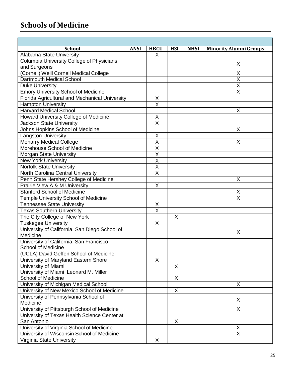### <span id="page-24-0"></span>**Schools of Medicine**

| <b>HBCU</b><br><b>School</b><br><b>ANSI</b><br><b>HSI</b><br><b>NHSI</b><br><b>Minority Alumni Groups</b><br>Alabama State University<br>X<br><b>Columbia University College of Physicians</b><br>X<br>and Surgeons<br>(Cornell) Weill Cornell Medical College<br>X<br>X<br>Dartmouth Medical School<br>$\overline{\mathsf{x}}$<br><b>Duke University</b><br><b>Emory University School of Medicine</b><br>$\overline{\mathsf{X}}$<br>Florida Agricultural and Mechanical University<br>X<br>$\overline{\mathsf{X}}$<br><b>Hampton University</b><br><b>Harvard Medical School</b><br>Χ<br>Howard University College of Medicine<br>X<br>$\overline{\mathsf{x}}$<br><b>Jackson State University</b><br>Johns Hopkins School of Medicine<br>X<br>$\mathsf X$<br><b>Langston University</b><br>$\overline{\mathsf{X}}$<br>X<br><b>Meharry Medical College</b><br>$\overline{\mathsf{x}}$<br>Morehouse School of Medicine<br>$\overline{X}$<br>Morgan State University<br>$\overline{X}$<br><b>New York University</b><br>$\overline{\mathsf{X}}$<br><b>Norfolk State University</b><br>$\overline{\mathsf{x}}$<br>North Carolina Central University<br>Penn State Hershey College of Medicine<br>Χ<br>X<br>Prairie View A & M University<br><b>Stanford School of Medicine</b><br>X<br>$\overline{\mathsf{x}}$<br><b>Temple University School of Medicine</b><br><b>Tennessee State University</b><br>$\mathsf X$<br>$\overline{\mathsf{x}}$<br><b>Texas Southern University</b><br>The City College of New York<br>X<br>X<br><b>Tuskegee University</b><br>University of California, San Diego School of<br>X<br>Medicine<br>University of California, San Francisco<br><b>School of Medicine</b><br>(UCLA) David Geffen School of Medicine<br>$\mathsf{X}$<br>University of Maryland Eastern Shore<br>University of Miami<br>X<br>University of Miami Leonard M. Miller<br>X<br><b>School of Medicine</b><br>University of Michigan Medical School<br>X<br>University of New Mexico School of Medicine<br>X<br>University of Pennsylvania School of<br>X<br>Medicine<br>University of Pittsburgh School of Medicine<br>$\overline{X}$<br>University of Texas Health Science Center at<br>San Antonio<br>X<br>University of Virginia School of Medicine<br>X<br>X<br>University of Wisconsin School of Medicine |                           |   |  |  |
|----------------------------------------------------------------------------------------------------------------------------------------------------------------------------------------------------------------------------------------------------------------------------------------------------------------------------------------------------------------------------------------------------------------------------------------------------------------------------------------------------------------------------------------------------------------------------------------------------------------------------------------------------------------------------------------------------------------------------------------------------------------------------------------------------------------------------------------------------------------------------------------------------------------------------------------------------------------------------------------------------------------------------------------------------------------------------------------------------------------------------------------------------------------------------------------------------------------------------------------------------------------------------------------------------------------------------------------------------------------------------------------------------------------------------------------------------------------------------------------------------------------------------------------------------------------------------------------------------------------------------------------------------------------------------------------------------------------------------------------------------------------------------------------------------------------------------------------------------------------------------------------------------------------------------------------------------------------------------------------------------------------------------------------------------------------------------------------------------------------------------------------------------------------------------------------------------------------------------------------------------------------------------------------------------------------|---------------------------|---|--|--|
|                                                                                                                                                                                                                                                                                                                                                                                                                                                                                                                                                                                                                                                                                                                                                                                                                                                                                                                                                                                                                                                                                                                                                                                                                                                                                                                                                                                                                                                                                                                                                                                                                                                                                                                                                                                                                                                                                                                                                                                                                                                                                                                                                                                                                                                                                                                |                           |   |  |  |
|                                                                                                                                                                                                                                                                                                                                                                                                                                                                                                                                                                                                                                                                                                                                                                                                                                                                                                                                                                                                                                                                                                                                                                                                                                                                                                                                                                                                                                                                                                                                                                                                                                                                                                                                                                                                                                                                                                                                                                                                                                                                                                                                                                                                                                                                                                                |                           |   |  |  |
|                                                                                                                                                                                                                                                                                                                                                                                                                                                                                                                                                                                                                                                                                                                                                                                                                                                                                                                                                                                                                                                                                                                                                                                                                                                                                                                                                                                                                                                                                                                                                                                                                                                                                                                                                                                                                                                                                                                                                                                                                                                                                                                                                                                                                                                                                                                |                           |   |  |  |
|                                                                                                                                                                                                                                                                                                                                                                                                                                                                                                                                                                                                                                                                                                                                                                                                                                                                                                                                                                                                                                                                                                                                                                                                                                                                                                                                                                                                                                                                                                                                                                                                                                                                                                                                                                                                                                                                                                                                                                                                                                                                                                                                                                                                                                                                                                                |                           |   |  |  |
|                                                                                                                                                                                                                                                                                                                                                                                                                                                                                                                                                                                                                                                                                                                                                                                                                                                                                                                                                                                                                                                                                                                                                                                                                                                                                                                                                                                                                                                                                                                                                                                                                                                                                                                                                                                                                                                                                                                                                                                                                                                                                                                                                                                                                                                                                                                |                           |   |  |  |
|                                                                                                                                                                                                                                                                                                                                                                                                                                                                                                                                                                                                                                                                                                                                                                                                                                                                                                                                                                                                                                                                                                                                                                                                                                                                                                                                                                                                                                                                                                                                                                                                                                                                                                                                                                                                                                                                                                                                                                                                                                                                                                                                                                                                                                                                                                                |                           |   |  |  |
|                                                                                                                                                                                                                                                                                                                                                                                                                                                                                                                                                                                                                                                                                                                                                                                                                                                                                                                                                                                                                                                                                                                                                                                                                                                                                                                                                                                                                                                                                                                                                                                                                                                                                                                                                                                                                                                                                                                                                                                                                                                                                                                                                                                                                                                                                                                |                           |   |  |  |
|                                                                                                                                                                                                                                                                                                                                                                                                                                                                                                                                                                                                                                                                                                                                                                                                                                                                                                                                                                                                                                                                                                                                                                                                                                                                                                                                                                                                                                                                                                                                                                                                                                                                                                                                                                                                                                                                                                                                                                                                                                                                                                                                                                                                                                                                                                                |                           |   |  |  |
|                                                                                                                                                                                                                                                                                                                                                                                                                                                                                                                                                                                                                                                                                                                                                                                                                                                                                                                                                                                                                                                                                                                                                                                                                                                                                                                                                                                                                                                                                                                                                                                                                                                                                                                                                                                                                                                                                                                                                                                                                                                                                                                                                                                                                                                                                                                |                           |   |  |  |
|                                                                                                                                                                                                                                                                                                                                                                                                                                                                                                                                                                                                                                                                                                                                                                                                                                                                                                                                                                                                                                                                                                                                                                                                                                                                                                                                                                                                                                                                                                                                                                                                                                                                                                                                                                                                                                                                                                                                                                                                                                                                                                                                                                                                                                                                                                                |                           |   |  |  |
|                                                                                                                                                                                                                                                                                                                                                                                                                                                                                                                                                                                                                                                                                                                                                                                                                                                                                                                                                                                                                                                                                                                                                                                                                                                                                                                                                                                                                                                                                                                                                                                                                                                                                                                                                                                                                                                                                                                                                                                                                                                                                                                                                                                                                                                                                                                |                           |   |  |  |
|                                                                                                                                                                                                                                                                                                                                                                                                                                                                                                                                                                                                                                                                                                                                                                                                                                                                                                                                                                                                                                                                                                                                                                                                                                                                                                                                                                                                                                                                                                                                                                                                                                                                                                                                                                                                                                                                                                                                                                                                                                                                                                                                                                                                                                                                                                                |                           |   |  |  |
|                                                                                                                                                                                                                                                                                                                                                                                                                                                                                                                                                                                                                                                                                                                                                                                                                                                                                                                                                                                                                                                                                                                                                                                                                                                                                                                                                                                                                                                                                                                                                                                                                                                                                                                                                                                                                                                                                                                                                                                                                                                                                                                                                                                                                                                                                                                |                           |   |  |  |
|                                                                                                                                                                                                                                                                                                                                                                                                                                                                                                                                                                                                                                                                                                                                                                                                                                                                                                                                                                                                                                                                                                                                                                                                                                                                                                                                                                                                                                                                                                                                                                                                                                                                                                                                                                                                                                                                                                                                                                                                                                                                                                                                                                                                                                                                                                                |                           |   |  |  |
|                                                                                                                                                                                                                                                                                                                                                                                                                                                                                                                                                                                                                                                                                                                                                                                                                                                                                                                                                                                                                                                                                                                                                                                                                                                                                                                                                                                                                                                                                                                                                                                                                                                                                                                                                                                                                                                                                                                                                                                                                                                                                                                                                                                                                                                                                                                |                           |   |  |  |
|                                                                                                                                                                                                                                                                                                                                                                                                                                                                                                                                                                                                                                                                                                                                                                                                                                                                                                                                                                                                                                                                                                                                                                                                                                                                                                                                                                                                                                                                                                                                                                                                                                                                                                                                                                                                                                                                                                                                                                                                                                                                                                                                                                                                                                                                                                                |                           |   |  |  |
|                                                                                                                                                                                                                                                                                                                                                                                                                                                                                                                                                                                                                                                                                                                                                                                                                                                                                                                                                                                                                                                                                                                                                                                                                                                                                                                                                                                                                                                                                                                                                                                                                                                                                                                                                                                                                                                                                                                                                                                                                                                                                                                                                                                                                                                                                                                |                           |   |  |  |
|                                                                                                                                                                                                                                                                                                                                                                                                                                                                                                                                                                                                                                                                                                                                                                                                                                                                                                                                                                                                                                                                                                                                                                                                                                                                                                                                                                                                                                                                                                                                                                                                                                                                                                                                                                                                                                                                                                                                                                                                                                                                                                                                                                                                                                                                                                                |                           |   |  |  |
|                                                                                                                                                                                                                                                                                                                                                                                                                                                                                                                                                                                                                                                                                                                                                                                                                                                                                                                                                                                                                                                                                                                                                                                                                                                                                                                                                                                                                                                                                                                                                                                                                                                                                                                                                                                                                                                                                                                                                                                                                                                                                                                                                                                                                                                                                                                |                           |   |  |  |
|                                                                                                                                                                                                                                                                                                                                                                                                                                                                                                                                                                                                                                                                                                                                                                                                                                                                                                                                                                                                                                                                                                                                                                                                                                                                                                                                                                                                                                                                                                                                                                                                                                                                                                                                                                                                                                                                                                                                                                                                                                                                                                                                                                                                                                                                                                                |                           |   |  |  |
|                                                                                                                                                                                                                                                                                                                                                                                                                                                                                                                                                                                                                                                                                                                                                                                                                                                                                                                                                                                                                                                                                                                                                                                                                                                                                                                                                                                                                                                                                                                                                                                                                                                                                                                                                                                                                                                                                                                                                                                                                                                                                                                                                                                                                                                                                                                |                           |   |  |  |
|                                                                                                                                                                                                                                                                                                                                                                                                                                                                                                                                                                                                                                                                                                                                                                                                                                                                                                                                                                                                                                                                                                                                                                                                                                                                                                                                                                                                                                                                                                                                                                                                                                                                                                                                                                                                                                                                                                                                                                                                                                                                                                                                                                                                                                                                                                                |                           |   |  |  |
|                                                                                                                                                                                                                                                                                                                                                                                                                                                                                                                                                                                                                                                                                                                                                                                                                                                                                                                                                                                                                                                                                                                                                                                                                                                                                                                                                                                                                                                                                                                                                                                                                                                                                                                                                                                                                                                                                                                                                                                                                                                                                                                                                                                                                                                                                                                |                           |   |  |  |
|                                                                                                                                                                                                                                                                                                                                                                                                                                                                                                                                                                                                                                                                                                                                                                                                                                                                                                                                                                                                                                                                                                                                                                                                                                                                                                                                                                                                                                                                                                                                                                                                                                                                                                                                                                                                                                                                                                                                                                                                                                                                                                                                                                                                                                                                                                                |                           |   |  |  |
|                                                                                                                                                                                                                                                                                                                                                                                                                                                                                                                                                                                                                                                                                                                                                                                                                                                                                                                                                                                                                                                                                                                                                                                                                                                                                                                                                                                                                                                                                                                                                                                                                                                                                                                                                                                                                                                                                                                                                                                                                                                                                                                                                                                                                                                                                                                |                           |   |  |  |
|                                                                                                                                                                                                                                                                                                                                                                                                                                                                                                                                                                                                                                                                                                                                                                                                                                                                                                                                                                                                                                                                                                                                                                                                                                                                                                                                                                                                                                                                                                                                                                                                                                                                                                                                                                                                                                                                                                                                                                                                                                                                                                                                                                                                                                                                                                                |                           |   |  |  |
|                                                                                                                                                                                                                                                                                                                                                                                                                                                                                                                                                                                                                                                                                                                                                                                                                                                                                                                                                                                                                                                                                                                                                                                                                                                                                                                                                                                                                                                                                                                                                                                                                                                                                                                                                                                                                                                                                                                                                                                                                                                                                                                                                                                                                                                                                                                |                           |   |  |  |
|                                                                                                                                                                                                                                                                                                                                                                                                                                                                                                                                                                                                                                                                                                                                                                                                                                                                                                                                                                                                                                                                                                                                                                                                                                                                                                                                                                                                                                                                                                                                                                                                                                                                                                                                                                                                                                                                                                                                                                                                                                                                                                                                                                                                                                                                                                                |                           |   |  |  |
|                                                                                                                                                                                                                                                                                                                                                                                                                                                                                                                                                                                                                                                                                                                                                                                                                                                                                                                                                                                                                                                                                                                                                                                                                                                                                                                                                                                                                                                                                                                                                                                                                                                                                                                                                                                                                                                                                                                                                                                                                                                                                                                                                                                                                                                                                                                |                           |   |  |  |
|                                                                                                                                                                                                                                                                                                                                                                                                                                                                                                                                                                                                                                                                                                                                                                                                                                                                                                                                                                                                                                                                                                                                                                                                                                                                                                                                                                                                                                                                                                                                                                                                                                                                                                                                                                                                                                                                                                                                                                                                                                                                                                                                                                                                                                                                                                                |                           |   |  |  |
|                                                                                                                                                                                                                                                                                                                                                                                                                                                                                                                                                                                                                                                                                                                                                                                                                                                                                                                                                                                                                                                                                                                                                                                                                                                                                                                                                                                                                                                                                                                                                                                                                                                                                                                                                                                                                                                                                                                                                                                                                                                                                                                                                                                                                                                                                                                |                           |   |  |  |
|                                                                                                                                                                                                                                                                                                                                                                                                                                                                                                                                                                                                                                                                                                                                                                                                                                                                                                                                                                                                                                                                                                                                                                                                                                                                                                                                                                                                                                                                                                                                                                                                                                                                                                                                                                                                                                                                                                                                                                                                                                                                                                                                                                                                                                                                                                                |                           |   |  |  |
|                                                                                                                                                                                                                                                                                                                                                                                                                                                                                                                                                                                                                                                                                                                                                                                                                                                                                                                                                                                                                                                                                                                                                                                                                                                                                                                                                                                                                                                                                                                                                                                                                                                                                                                                                                                                                                                                                                                                                                                                                                                                                                                                                                                                                                                                                                                |                           |   |  |  |
|                                                                                                                                                                                                                                                                                                                                                                                                                                                                                                                                                                                                                                                                                                                                                                                                                                                                                                                                                                                                                                                                                                                                                                                                                                                                                                                                                                                                                                                                                                                                                                                                                                                                                                                                                                                                                                                                                                                                                                                                                                                                                                                                                                                                                                                                                                                |                           |   |  |  |
|                                                                                                                                                                                                                                                                                                                                                                                                                                                                                                                                                                                                                                                                                                                                                                                                                                                                                                                                                                                                                                                                                                                                                                                                                                                                                                                                                                                                                                                                                                                                                                                                                                                                                                                                                                                                                                                                                                                                                                                                                                                                                                                                                                                                                                                                                                                |                           |   |  |  |
|                                                                                                                                                                                                                                                                                                                                                                                                                                                                                                                                                                                                                                                                                                                                                                                                                                                                                                                                                                                                                                                                                                                                                                                                                                                                                                                                                                                                                                                                                                                                                                                                                                                                                                                                                                                                                                                                                                                                                                                                                                                                                                                                                                                                                                                                                                                |                           |   |  |  |
|                                                                                                                                                                                                                                                                                                                                                                                                                                                                                                                                                                                                                                                                                                                                                                                                                                                                                                                                                                                                                                                                                                                                                                                                                                                                                                                                                                                                                                                                                                                                                                                                                                                                                                                                                                                                                                                                                                                                                                                                                                                                                                                                                                                                                                                                                                                |                           |   |  |  |
|                                                                                                                                                                                                                                                                                                                                                                                                                                                                                                                                                                                                                                                                                                                                                                                                                                                                                                                                                                                                                                                                                                                                                                                                                                                                                                                                                                                                                                                                                                                                                                                                                                                                                                                                                                                                                                                                                                                                                                                                                                                                                                                                                                                                                                                                                                                |                           |   |  |  |
|                                                                                                                                                                                                                                                                                                                                                                                                                                                                                                                                                                                                                                                                                                                                                                                                                                                                                                                                                                                                                                                                                                                                                                                                                                                                                                                                                                                                                                                                                                                                                                                                                                                                                                                                                                                                                                                                                                                                                                                                                                                                                                                                                                                                                                                                                                                |                           |   |  |  |
|                                                                                                                                                                                                                                                                                                                                                                                                                                                                                                                                                                                                                                                                                                                                                                                                                                                                                                                                                                                                                                                                                                                                                                                                                                                                                                                                                                                                                                                                                                                                                                                                                                                                                                                                                                                                                                                                                                                                                                                                                                                                                                                                                                                                                                                                                                                |                           |   |  |  |
|                                                                                                                                                                                                                                                                                                                                                                                                                                                                                                                                                                                                                                                                                                                                                                                                                                                                                                                                                                                                                                                                                                                                                                                                                                                                                                                                                                                                                                                                                                                                                                                                                                                                                                                                                                                                                                                                                                                                                                                                                                                                                                                                                                                                                                                                                                                |                           |   |  |  |
|                                                                                                                                                                                                                                                                                                                                                                                                                                                                                                                                                                                                                                                                                                                                                                                                                                                                                                                                                                                                                                                                                                                                                                                                                                                                                                                                                                                                                                                                                                                                                                                                                                                                                                                                                                                                                                                                                                                                                                                                                                                                                                                                                                                                                                                                                                                |                           |   |  |  |
|                                                                                                                                                                                                                                                                                                                                                                                                                                                                                                                                                                                                                                                                                                                                                                                                                                                                                                                                                                                                                                                                                                                                                                                                                                                                                                                                                                                                                                                                                                                                                                                                                                                                                                                                                                                                                                                                                                                                                                                                                                                                                                                                                                                                                                                                                                                |                           |   |  |  |
|                                                                                                                                                                                                                                                                                                                                                                                                                                                                                                                                                                                                                                                                                                                                                                                                                                                                                                                                                                                                                                                                                                                                                                                                                                                                                                                                                                                                                                                                                                                                                                                                                                                                                                                                                                                                                                                                                                                                                                                                                                                                                                                                                                                                                                                                                                                |                           |   |  |  |
|                                                                                                                                                                                                                                                                                                                                                                                                                                                                                                                                                                                                                                                                                                                                                                                                                                                                                                                                                                                                                                                                                                                                                                                                                                                                                                                                                                                                                                                                                                                                                                                                                                                                                                                                                                                                                                                                                                                                                                                                                                                                                                                                                                                                                                                                                                                |                           |   |  |  |
|                                                                                                                                                                                                                                                                                                                                                                                                                                                                                                                                                                                                                                                                                                                                                                                                                                                                                                                                                                                                                                                                                                                                                                                                                                                                                                                                                                                                                                                                                                                                                                                                                                                                                                                                                                                                                                                                                                                                                                                                                                                                                                                                                                                                                                                                                                                |                           |   |  |  |
|                                                                                                                                                                                                                                                                                                                                                                                                                                                                                                                                                                                                                                                                                                                                                                                                                                                                                                                                                                                                                                                                                                                                                                                                                                                                                                                                                                                                                                                                                                                                                                                                                                                                                                                                                                                                                                                                                                                                                                                                                                                                                                                                                                                                                                                                                                                |                           |   |  |  |
|                                                                                                                                                                                                                                                                                                                                                                                                                                                                                                                                                                                                                                                                                                                                                                                                                                                                                                                                                                                                                                                                                                                                                                                                                                                                                                                                                                                                                                                                                                                                                                                                                                                                                                                                                                                                                                                                                                                                                                                                                                                                                                                                                                                                                                                                                                                | Virginia State University | X |  |  |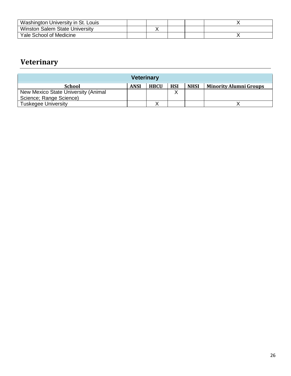| Washington University in St. Louis |  |  |  |
|------------------------------------|--|--|--|
| Winston Salem State University     |  |  |  |
| Yale School of Medicine            |  |  |  |

### **Veterinary**

| <b>Veterinary</b>                   |             |             |            |             |                               |
|-------------------------------------|-------------|-------------|------------|-------------|-------------------------------|
| <b>School</b>                       | <b>ANSI</b> | <b>HBCU</b> | <b>HSI</b> | <b>NHSI</b> | <b>Minority Alumni Groups</b> |
| New Mexico State University (Animal |             |             | v<br>∧     |             |                               |
| Science; Range Science)             |             |             |            |             |                               |
| <b>Tuskegee University</b>          |             |             |            |             |                               |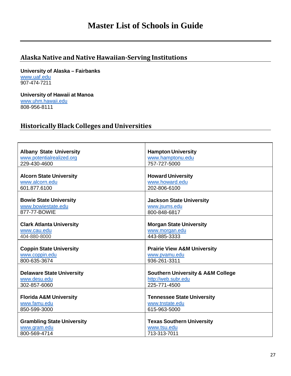#### <span id="page-26-1"></span><span id="page-26-0"></span>**Alaska Native andNative Hawaiian‐Serving Institutions**

**University of Alaska – Fairbanks** [www.uaf.edu](http://www.uaf.edu/) 907-474-7211

**University of Hawaii at Manoa** [www.uhm.hawaii.edu](http://www.uhm.hawaii.edu/) 808-956-8111

#### <span id="page-26-2"></span>**HistoricallyBlack Colleges andUniversities**

| <b>Hampton University</b>                        |
|--------------------------------------------------|
| www.hamptonu.edu                                 |
| 757-727-5000                                     |
|                                                  |
| <b>Howard University</b>                         |
| www.howard.edu                                   |
| 202-806-6100                                     |
|                                                  |
| <b>Jackson State University</b>                  |
| www.jsums.edu                                    |
| 800-848-6817                                     |
|                                                  |
| <b>Morgan State University</b>                   |
| www.morgan.edu                                   |
| 443-885-3333                                     |
|                                                  |
| <b>Prairie View A&amp;M University</b>           |
| www.pvamu.edu                                    |
| 936-261-3311                                     |
|                                                  |
| <b>Southern University &amp; A&amp;M College</b> |
| http://web.subr.edu                              |
| 225-771-4500                                     |
|                                                  |
| <b>Tennessee State University</b>                |
| www.tnstate.edu                                  |
| 615-963-5000                                     |
|                                                  |
| <b>Texas Southern University</b>                 |
| www.tsu.edu                                      |
| 713-313-7011                                     |
|                                                  |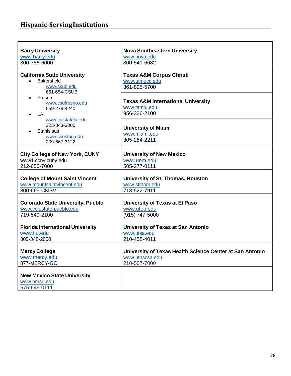### <span id="page-27-0"></span>**Hispanic‐ServingInstitutions**

| <b>Barry University</b>                                                                                                      | <b>Nova Southeastern University</b>                                                         |
|------------------------------------------------------------------------------------------------------------------------------|---------------------------------------------------------------------------------------------|
| www.barry.edu                                                                                                                | www.nova.edu                                                                                |
| 800-756-6000                                                                                                                 | 800-541-6682                                                                                |
| <b>California State University</b><br><b>Bakersfield</b><br>$\bullet$<br>www.csub.edu<br>661-654-CSUB<br>Fresno<br>$\bullet$ | <b>Texas A&amp;M Corpus Christi</b><br>www.tamucc.edu<br>361-825-5700                       |
| www.csufresno.edu                                                                                                            | <b>Texas A&amp;M International University</b>                                               |
| 559-278-4240                                                                                                                 | www.tamiu.edu                                                                               |
| LA                                                                                                                           | 956-326-2100                                                                                |
| www.calstatela.edu<br>323-343-3000<br><b>Stanislaus</b><br>www.csustan.edu<br>209-667-3122                                   | <b>University of Miami</b><br>www.miami.edu<br>305-284-2211                                 |
|                                                                                                                              |                                                                                             |
| <b>City College of New York, CUNY</b><br>www1.ccny.cuny.edu                                                                  | <b>University of New Mexico</b><br>www.unm.edu                                              |
| 212-650-7000                                                                                                                 | 505-277-0111                                                                                |
| <b>College of Mount Saint Vincent</b><br>www.mountsaintvincent.edu<br>800-665-CMSV                                           | University of St. Thomas, Houston<br>www.stthom.edu<br>713-522-7911                         |
|                                                                                                                              |                                                                                             |
| <b>Colorado State University, Pueblo</b>                                                                                     | University of Texas at El Paso                                                              |
| www.colostate-pueblo.edu                                                                                                     | www.utep.edu                                                                                |
| 719-549-2100                                                                                                                 | (915) 747-5000                                                                              |
| <b>Florida International University</b><br>www.fiu.edu<br>305-348-2000                                                       | <b>University of Texas at San Antonio</b><br>www.utsa.edu<br>210-458-4011                   |
| <b>Mercy College</b><br>www.mercy.edu<br>877-MERCY-GO                                                                        | University of Texas Health Science Center at San Antonio<br>www.uthscsa.edu<br>210-567-7000 |
| <b>New Mexico State University</b><br>www.nmsu.edu<br>575-646-0111                                                           |                                                                                             |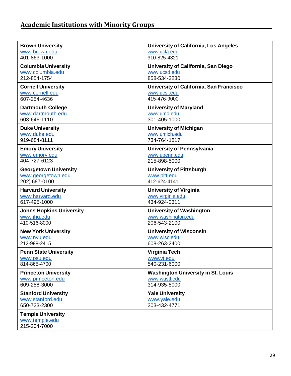<span id="page-28-0"></span>

| <b>Brown University</b>                       | <b>University of California, Los Angeles</b>               |
|-----------------------------------------------|------------------------------------------------------------|
| www.brown.edu                                 | www.ucla.edu                                               |
| 401-863-1000                                  | 310-825-4321                                               |
| <b>Columbia University</b>                    | University of California, San Diego                        |
| www.columbia.edu                              | www.ucsd.edu                                               |
| 212-854-1754                                  | 858-534-2230                                               |
| <b>Cornell University</b>                     | University of California, San Francisco                    |
| www.cornell.edu<br>607-254-4636               | www.ucsf.edu<br>415-476-9000                               |
|                                               |                                                            |
| <b>Dartmouth College</b><br>www.dartmouth.edu | <b>University of Maryland</b><br>www.umd.edu               |
| 603-646-1110                                  | 301-405-1000                                               |
| <b>Duke University</b>                        | <b>University of Michigan</b>                              |
| www.duke.edu                                  | www.umich.edu                                              |
| 919-684-8111                                  | 734-764-1817                                               |
| <b>Emory University</b>                       | <b>University of Pennsylvania</b>                          |
| www.emory.edu                                 | www.upenn.edu                                              |
| 404-727-6123                                  | 215-898-5000                                               |
| <b>Georgetown University</b>                  | <b>University of Pittsburgh</b>                            |
| www.georgetown.edu                            | www.pitt.edu                                               |
| 202) 687-0100                                 | 412-624-4141                                               |
|                                               |                                                            |
| <b>Harvard University</b>                     | <b>University of Virginia</b>                              |
| www.harvard.edu                               | www.virginia.edu                                           |
| 617-495-1000                                  | 434-924-0311                                               |
| <b>Johns Hopkins University</b>               | <b>University of Washington</b>                            |
| www.jhu.edu                                   | www.washington.edu                                         |
| 410-516-8000                                  | 206-543-2100                                               |
| <b>New York University</b>                    | <b>University of Wisconsin</b>                             |
| www.nyu.edu                                   | www.wisc.edu                                               |
| 212-998-2415                                  | 608-263-2400                                               |
| <b>Penn State University</b>                  | Virginia Tech                                              |
| www.psu.edu<br>814-865-4700                   | www.vt.edu<br>540-231-6000                                 |
|                                               |                                                            |
| <b>Princeton University</b>                   | <b>Washington University in St. Louis</b><br>www.wustl.edu |
| www.princeton.edu<br>609-258-3000             | 314-935-5000                                               |
| <b>Stanford University</b>                    | <b>Yale University</b>                                     |
| www.stanford.edu                              | www.yale.edu                                               |
| 650-723-2300                                  | 203-432-4771                                               |
| <b>Temple University</b>                      |                                                            |
| www.temple.edu<br>215-204-7000                |                                                            |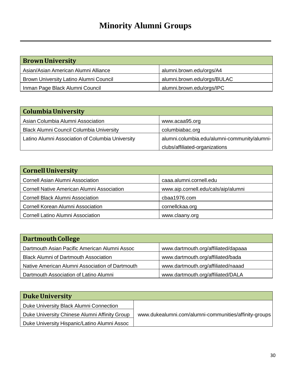# **Minority Alumni Groups**

| <b>Brown University</b>                |                             |
|----------------------------------------|-----------------------------|
| Asian/Asian American Alumni Alliance   | alumni.brown.edu/orgs/A4    |
| Brown University Latino Alumni Council | alumni.brown.edu/orgs/BULAC |
| Inman Page Black Alumni Council        | alumni.brown.edu/orgs/IPC   |

| Columbia University                              |                                              |
|--------------------------------------------------|----------------------------------------------|
| Asian Columbia Alumni Association                | www.acaa95.org                               |
| <b>Black Alumni Council Columbia University</b>  | columbiabac.org                              |
| Latino Alumni Association of Columbia University | alumni.columbia.edu/alumni-community/alumni- |
|                                                  | clubs/affiliated-organizations               |

| <b>Cornell University</b>                  |                                     |
|--------------------------------------------|-------------------------------------|
|                                            |                                     |
| <b>Cornell Asian Alumni Association</b>    | caaa.alumni.cornell.edu             |
| Cornell Native American Alumni Association | www.aip.cornell.edu/cals/aip/alumni |
| <b>Cornell Black Alumni Association</b>    | cbaa1976.com                        |
| <b>Cornell Korean Alumni Association</b>   | cornellckaa.org                     |
| <b>Cornell Latino Alumni Association</b>   | www.claany.org                      |

| <b>Dartmouth College</b>                        |                                     |
|-------------------------------------------------|-------------------------------------|
| Dartmouth Asian Pacific American Alumni Assoc   | www.dartmouth.org/affiliated/dapaaa |
| <b>Black Alumni of Dartmouth Association</b>    | www.dartmouth.org/affiliated/bada   |
| Native American Alumni Association of Dartmouth | www.dartmouth.org/affiliated/naaad  |
| Dartmouth Association of Latino Alumni          | www.dartmouth.org/affiliated/DALA   |

| <b>Duke University</b>                        |                                                       |
|-----------------------------------------------|-------------------------------------------------------|
| Duke University Black Alumni Connection       |                                                       |
| Duke University Chinese Alumni Affinity Group | www.dukealumni.com/alumni-communities/affinity-groups |
| Duke University Hispanic/Latino Alumni Assoc  |                                                       |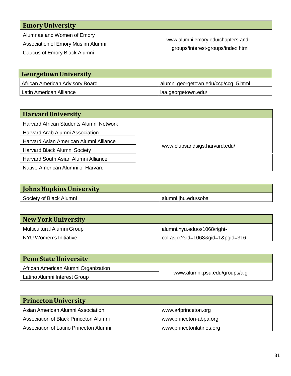| <b>Emory University</b>            |                                    |
|------------------------------------|------------------------------------|
| Alumnae and Women of Emory         |                                    |
| Association of Emory Muslim Alumni | www.alumni.emory.edu/chapters-and- |
| Caucus of Emory Black Alumni       | groups/interest-groups/index.html  |

| <b>Georgetown University</b>    |                                      |
|---------------------------------|--------------------------------------|
| African American Advisory Board | alumni.georgetown.edu/ccg/ccg_5.html |
| Latin American Alliance         | laa.georgetown.edu/                  |

| <b>Harvard University</b>               |                               |
|-----------------------------------------|-------------------------------|
| Harvard African Students Alumni Network |                               |
| Harvard Arab Alumni Association         |                               |
| Harvard Asian American Alumni Alliance  |                               |
| Harvard Black Alumni Society            | www.clubsandsigs.harvard.edu/ |
| Harvard South Asian Alumni Alliance     |                               |
| Native American Alumni of Harvard       |                               |

| <b>Johns Hopkins University</b> |                     |
|---------------------------------|---------------------|
| Society of Black Alumni         | alumni.jhu.edu/soba |

| <b>New York University</b> |                                  |
|----------------------------|----------------------------------|
| Multicultural Alumni Group | alumni.nyu.edu/s/1068/right-     |
| NYU Women's Initiative     | col.aspx?sid=1068&gid=1&pgid=316 |

| <b>Penn State University</b>         |                               |
|--------------------------------------|-------------------------------|
| African American Alumni Organization |                               |
| Latino Alumni Interest Group         | www.alumni.psu.edu/groups/aig |

| <b>Princeton University</b>            |                          |
|----------------------------------------|--------------------------|
| Asian American Alumni Association      | www.a4princeton.org      |
| Association of Black Princeton Alumni  | www.princeton-abpa.org   |
| Association of Latino Princeton Alumni | www.princetonlatinos.org |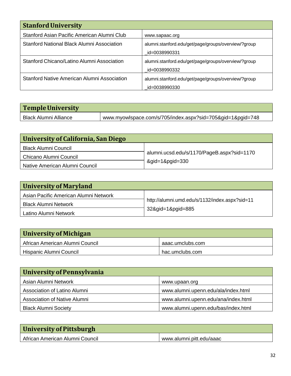| <b>Stanford University</b>                        |                                                                      |
|---------------------------------------------------|----------------------------------------------------------------------|
| Stanford Asian Pacific American Alumni Club       | www.sapaac.org                                                       |
| <b>Stanford National Black Alumni Association</b> | alumni.stanford.edu/get/page/groups/overview/?group<br>id=0038990331 |
| Stanford Chicano/Latino Alumni Association        | alumni.stanford.edu/get/page/groups/overview/?group<br>id=0038990332 |
| Stanford Native American Alumni Association       | alumni.stanford.edu/get/page/groups/overview/?group<br>id=0038990330 |

| Temple University     |                                                            |
|-----------------------|------------------------------------------------------------|
| Black Alumni Alliance | www.myowlspace.com/s/705/index.aspx?sid=705&gid=1&pgid=748 |

| University of California, San Diego |                                            |
|-------------------------------------|--------------------------------------------|
| <b>Black Alumni Council</b>         |                                            |
| Chicano Alumni Council              | alumni.ucsd.edu/s/1170/PageB.aspx?sid=1170 |
| Native American Alumni Council      | &gid=1&pgid=330                            |

| University of Maryland                                               |                                                |
|----------------------------------------------------------------------|------------------------------------------------|
| Asian Pacific American Alumni Network<br><b>Black Alumni Network</b> | http://alumni.umd.edu/s/1132/index.aspx?sid=11 |
| Latino Alumni Network                                                | 32&gid=1&pgid=885                              |

| University of Michigan          |                  |
|---------------------------------|------------------|
| African American Alumni Council | aaac.umclubs.com |
| Hispanic Alumni Council         | hac.umclubs.com  |

| University of Pennsylvania          |                                     |
|-------------------------------------|-------------------------------------|
| Asian Alumni Network                | www.upaan.org                       |
| Association of Latino Alumni        | www.alumni.upenn.edu/ala/index.html |
| <b>Association of Native Alumni</b> | www.alumni.upenn.edu/ana/index.html |
| <b>Black Alumni Society</b>         | www.alumni.upenn.edu/bas/index.html |

| University of Pittsburgh        |                          |
|---------------------------------|--------------------------|
| African American Alumni Council | www.alumni.pitt.edu/aaac |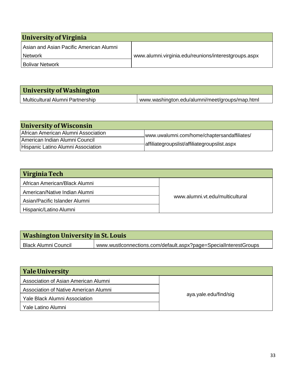| University of Virginia                  |                                                      |  |
|-----------------------------------------|------------------------------------------------------|--|
| Asian and Asian Pacific American Alumni |                                                      |  |
| <b>Network</b>                          | www.alumni.virginia.edu/reunions/interestgroups.aspx |  |
| <b>Bolivar Network</b>                  |                                                      |  |

| University of Washington         |                                                |
|----------------------------------|------------------------------------------------|
| Multicultural Alumni Partnership | www.washington.edu/alumni/meet/groups/map.html |

| <b>University of Wisconsin</b>      |                                              |  |
|-------------------------------------|----------------------------------------------|--|
| African American Alumni Association | www.uwalumni.com/home/chaptersandaffiliates/ |  |
| American Indian Alumni Council      |                                              |  |
| Hispanic Latino Alumni Association  | affiliategroupslist/affiliategroupslist.aspx |  |

| Virginia Tech                 |                                 |
|-------------------------------|---------------------------------|
| African American/Black Alumni |                                 |
| American/Native Indian Alumni |                                 |
| Asian/Pacific Islander Alumni | www.alumni.vt.edu/multicultural |
| Hispanic/Latino Alumni        |                                 |

| <b>Washington University in St. Louis</b> |                                                                  |  |
|-------------------------------------------|------------------------------------------------------------------|--|
| Black Alumni Council                      | www.wustlconnections.com/default.aspx?page=SpecialInterestGroups |  |
|                                           |                                                                  |  |

| <b>Yale University</b>                |                       |
|---------------------------------------|-----------------------|
| Association of Asian American Alumni  |                       |
| Association of Native American Alumni |                       |
| <b>Yale Black Alumni Association</b>  | aya.yale.edu/find/sig |
| Yale Latino Alumni                    |                       |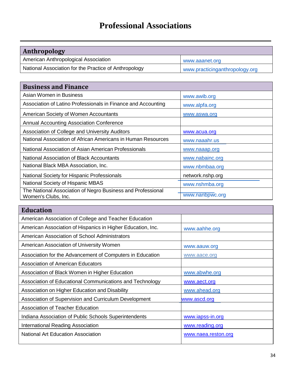# **Professional Associations**

| Anthropology                                          |                                |
|-------------------------------------------------------|--------------------------------|
| American Anthropological Association                  | www.aaanet.org                 |
| National Association for the Practice of Anthropology | www.practicinganthropology.org |

| <b>Business and Finance</b>                                                        |                  |
|------------------------------------------------------------------------------------|------------------|
| Asian Women in Business                                                            | www.awib.org     |
| Association of Latino Professionals in Finance and Accounting                      | www.alpfa.org    |
| American Society of Women Accountants                                              | www.aswa.org     |
| <b>Annual Accounting Association Conference</b>                                    |                  |
| Association of College and University Auditors                                     | www.acua.org     |
| National Association of African Americans in Human Resources                       | www.naaahr.us    |
| National Association of Asian American Professionals                               | www.naaap.org    |
| National Association of Black Accountants                                          | www.nabainc.org  |
| National Black MBA Association, Inc.                                               | www.nbmbaa.org   |
| National Society for Hispanic Professionals                                        | network.nshp.org |
| National Society of Hispanic MBAS                                                  | www.nshmba.org   |
| The National Association of Negro Business and Professional<br>Women's Clubs, Inc. | www.nanbpwc.org  |

| <b>Education</b>                                            |                     |
|-------------------------------------------------------------|---------------------|
| American Association of College and Teacher Education       |                     |
| American Association of Hispanics in Higher Education, Inc. | www.aahhe.org       |
| American Association of School Administrators               |                     |
| American Association of University Women                    | www.aauw.org        |
| Association for the Advancement of Computers in Education   | www.aace.org        |
| <b>Association of American Educators</b>                    |                     |
| Association of Black Women in Higher Education              | www.abwhe.org       |
| Association of Educational Communications and Technology    | www.aect.org        |
| Association on Higher Education and Disability              | www.ahead.org       |
| Association of Supervision and Curriculum Development       | www.ascd.org        |
| <b>Association of Teacher Education</b>                     |                     |
| Indiana Association of Public Schools Superintendents       | www.iapss-in.org    |
| <b>International Reading Association</b>                    | www.reading.org     |
| <b>National Art Education Association</b>                   | www.naea.reston.org |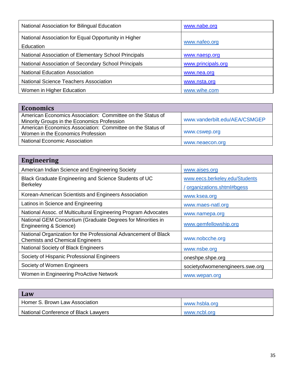| National Association for Bilingual Education                      | www.nabe.org       |
|-------------------------------------------------------------------|--------------------|
| National Association for Equal Opportunity in Higher<br>Education | www.nafeo.org      |
| National Association of Elementary School Principals              | www.naesp.org      |
| National Association of Secondary School Principals               | www.principals.org |
| <b>National Education Association</b>                             | www.nea.org        |
| <b>National Science Teachers Association</b>                      | www.nsta.org       |
| Women in Higher Education                                         | www.wihe.com       |

| <b>Economics</b>                                           |                               |
|------------------------------------------------------------|-------------------------------|
| American Economics Association: Committee on the Status of |                               |
| Minority Groups in the Economics Profession                | www.vanderbilt.edu/AEA/CSMGEP |
| American Economics Association: Committee on the Status of |                               |
| Women in the Economics Profession                          | www.cswep.org                 |
| National Economic Association                              | www.neaecon.org               |

| <b>Engineering</b>                                                                                        |                                                               |
|-----------------------------------------------------------------------------------------------------------|---------------------------------------------------------------|
| American Indian Science and Engineering Society                                                           | www.aises.org                                                 |
| Black Graduate Engineering and Science Students of UC<br><b>Berkeley</b>                                  | www.eecs.berkeley.edu/Students<br>/ organizations.shtml#bgess |
| Korean-American Scientists and Engineers Association                                                      | www.ksea.org                                                  |
| Latinos in Science and Engineering                                                                        | www.maes-natl.org                                             |
| National Assoc. of Multicultural Engineering Program Advocates                                            | www.namepa.org                                                |
| National GEM Consortium (Graduate Degrees for Minorities in<br>Engineering & Science)                     | www.gemfellowship.org                                         |
| National Organization for the Professional Advancement of Black<br><b>Chemists and Chemical Engineers</b> | www.nobcche.org                                               |
| National Society of Black Engineers                                                                       | www.nsbe.org                                                  |
| Society of Hispanic Professional Engineers                                                                | oneshpe.shpe.org                                              |
| Society of Women Engineers                                                                                | societyofwomenengineers.swe.org                               |
| Women in Engineering ProActive Network                                                                    | www.wepan.org                                                 |

| Law                                  |               |
|--------------------------------------|---------------|
| Homer S. Brown Law Association       | www.hsbla.org |
| National Conference of Black Lawyers | www.ncbl.org  |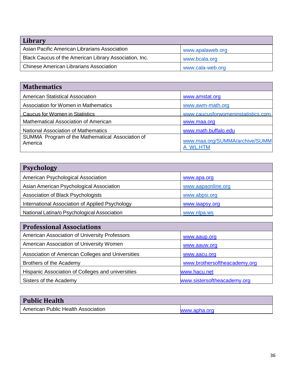| Library                                                |                  |
|--------------------------------------------------------|------------------|
| Asian Pacific American Librarians Association          | www.apalaweb.org |
| Black Caucus of the American Library Association, Inc. | www.bcala.org    |
| <b>Chinese American Librarians Association</b>         | www.cala-web.org |

| <b>Mathematics</b>                                          |                                            |
|-------------------------------------------------------------|--------------------------------------------|
| <b>American Statistical Association</b>                     | www.amstat.org                             |
| Association for Women in Mathematics                        | www.awm-math.org                           |
| Caucus for Women in Statistics                              | www.caucusforwomeninstatistics.com         |
| Mathematical Association of American                        | www.maa.org                                |
| <b>National Association of Mathematics</b>                  | www.math.buffalo.edu                       |
| SUMMA Program of the Mathematical Association of<br>America | www.maa.org/SUMMA/archive/SUMM<br>A WL.HTM |

| <b>Psychology</b>                               |                    |
|-------------------------------------------------|--------------------|
| American Psychological Association              | www.apa.org        |
| Asian American Psychological Association        | www.aapaonline.org |
| Association of Black Psychologists              | www.abpsi.org      |
| International Association of Applied Psychology | www.iaapsy.org     |
| National Latina/o Psychological Association     | www.nlpa.ws        |
|                                                 |                    |

| <b>Professional Associations</b>                  |                              |
|---------------------------------------------------|------------------------------|
| American Association of University Professors     | www.aaup.org                 |
| American Association of University Women          | www.aauw.org                 |
| Association of American Colleges and Universities | www.aacu.org                 |
| Brothers of the Academy                           | www.brothersoftheacademy.org |
| Hispanic Association of Colleges and universities | www.hacu.net                 |
| Sisters of the Academy                            | www.sistersoftheacademy.org  |

| <b>Public Health</b>               |              |
|------------------------------------|--------------|
| American Public Health Association | www.apha.org |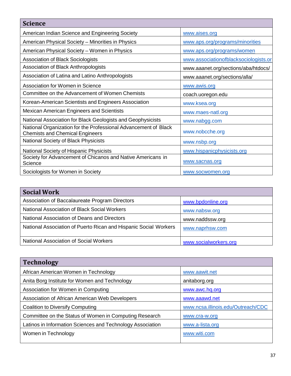| <b>Science</b>                                                                                            |                                       |
|-----------------------------------------------------------------------------------------------------------|---------------------------------------|
| American Indian Science and Engineering Society                                                           | www.aises.org                         |
| American Physical Society - Minorities in Physics                                                         | www.aps.org/programs/minorities       |
| American Physical Society – Women in Physics                                                              | www.aps.org/programs/women            |
| <b>Association of Black Sociologists</b>                                                                  | www.associationofblacksociologists.or |
| Association of Black Anthropologists                                                                      | www.aaanet.org/sections/aba/htdocs/   |
| Association of Latina and Latino Anthropologists                                                          | www.aaanet.org/sections/alla/         |
| Association for Women in Science                                                                          | www.awis.org                          |
| Committee on the Advancement of Women Chemists                                                            | coach.uoregon.edu                     |
| Korean-American Scientists and Engineers Association                                                      | www.ksea.org                          |
| <b>Mexican American Engineers and Scientists</b>                                                          | www.maes-natl.org                     |
| National Association for Black Geologists and Geophysicists                                               | www.nabgg.com                         |
| National Organization for the Professional Advancement of Black<br><b>Chemists and Chemical Engineers</b> | www.nobcche.org                       |
| National Society of Black Physicists                                                                      | www.nsbp.org                          |
| National Society of Hispanic Physicists                                                                   | www.hispanicphysicists.org            |
| Society for Advancement of Chicanos and Native Americans in<br>Science                                    | www.sacnas.org                        |
| Sociologists for Women in Society                                                                         | www.socwomen.org                      |

| <b>Social Work</b>                                               |                       |
|------------------------------------------------------------------|-----------------------|
| Association of Baccalaureate Program Directors                   | www.bpdonline.org     |
| National Association of Black Social Workers                     | www.nabsw.org         |
| National Association of Deans and Directors                      | www.naddssw.org       |
| National Association of Puerto Rican and Hispanic Social Workers | www.naprhsw.com       |
| <b>National Association of Social Workers</b>                    | www.socialworkers.org |

| <b>Technology</b>                                          |                                    |
|------------------------------------------------------------|------------------------------------|
| African American Women in Technology                       | www.aawit.net                      |
| Anita Borg Institute for Women and Technology              | anitaborg.org                      |
| Association for Women in Computing                         | www.awc.hq.org                     |
| Association of African American Web Developers             | www.aaawd.net                      |
| Coalition to Diversify Computing                           | www.ncsa.illinois.edu/Outreach/CDC |
| Committee on the Status of Women in Computing Research     | www.cra-w.org                      |
| Latinos in Information Sciences and Technology Association | www.a-lista.org                    |
| Women in Technology                                        | www.witi.com                       |
|                                                            |                                    |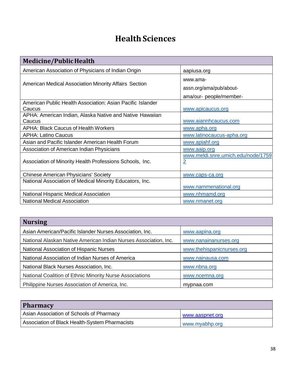# **Health Sciences**

| <b>Medicine/Public Health</b>                                        |                                                                |
|----------------------------------------------------------------------|----------------------------------------------------------------|
| American Association of Physicians of Indian Origin                  | aapiusa.org                                                    |
| <b>American Medical Association Minority Affairs Section</b>         | www.ama-<br>assn.org/ama/pub/about-<br>ama/our- people/member- |
| American Public Health Association: Asian Pacific Islander<br>Caucus | www.apicaucus.org                                              |
| APHA: American Indian, Alaska Native and Native Hawaiian<br>Caucus   | www.aiannhcaucus.com                                           |
| <b>APHA: Black Caucus of Health Workers</b>                          | www.apha.org                                                   |
| <b>APHA: Latino Caucus</b>                                           | www.latinocaucus-apha.org                                      |
| Asian and Pacific Islander American Health Forum                     | www.apiahf.org                                                 |
| Association of American Indian Physicians                            | www.aaip.org                                                   |
| Association of Minority Health Professions Schools, Inc.             | www.meldi.snre.umich.edu/node/1759<br>$\overline{2}$           |
| <b>Chinese American Physicians' Society</b>                          | www.caps-ca.org                                                |
| National Association of Medical Minority Educators, Inc.             |                                                                |
|                                                                      | www.nammenational.org                                          |
| National Hispanic Medical Association                                | www.nhmamd.org                                                 |
| <b>National Medical Association</b>                                  | www.nmanet.org                                                 |

| <b>Nursing</b>                                                   |                           |
|------------------------------------------------------------------|---------------------------|
| Asian American/Pacific Islander Nurses Association, Inc.         | www.aapina.org            |
| National Alaskan Native American Indian Nurses Association, Inc. | www.nanainanurses.org     |
| National Association of Hispanic Nurses                          | www.thehispanicnurses.org |
| National Association of Indian Nurses of America                 | www.nainausa.com          |
| National Black Nurses Association, Inc.                          | www.nbna.org              |
| National Coalition of Ethnic Minority Nurse Associations         | www.ncemna.org            |
| Philippine Nurses Association of America, Inc.                   | mypnaa.com                |

| <b>Pharmacy</b>                                 |                 |
|-------------------------------------------------|-----------------|
| <b>Asian Association of Schools of Pharmacy</b> | www.aaspnet.org |
| Association of Black Health-System Pharmacists  | www.myabhp.org  |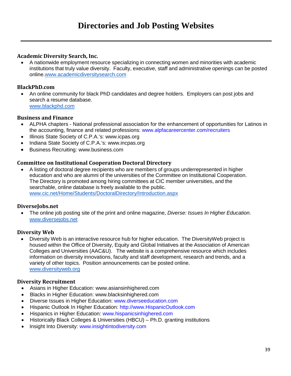#### **Academic Diversity Search, Inc.**

• A nationwide employment resource specializing in connecting women and minorities with academic institutions that truly value diversity. Faculty, executive, staff and administrative openings can be posted online[.www.academicdiversitysearch.com](http://www.academicdiversitysearch.com/)

#### **BlackPhD.com**

• An online community for black PhD candidates and degree holders. Employers can post jobs and search a resume database. [www.blackphd.com](http://www.blackphd.com/)

#### **Business and Finance**

- ALPHA chapters National professional association for the enhancement of opportunities for Latinos in the accounting, finance and related professions: www.alpfacareercenter.com/recruiters
- Illinois State Society of C.P.A.'s: www.icpas.org
- Indiana State Society of C.P.A.'s: www.incpas.org
- Business Recruiting: www.business.com

#### **Committee on Institutional Cooperation Doctoral Directory**

• A listing of doctoral degree recipients who are members of groups underrepresented in higher education and who are alumni of the universities of the Committee on Institutional Cooperation. The Directory is promoted among hiring committees at CIC member universities, and the searchable, online database is freely available to the public. [www.cic.net/Home/Students/DoctoralDirectory/Introduction.aspx](http://www.cic.net/Home/Students/DoctoralDirectory/Introduction.aspx)

#### **DiverseJobs.net**

• The online job posting site of the print and online magazine, *Diverse: Issues In Higher Education*. [www.diversejobs.net](http://www.diversejobs.net/)

#### **Diversity Web**

• Diversity Web is an interactive resource hub for higher education. The DiversityWeb project is housed within the Office of Diversity, Equity and Global Initiatives at the Association of American Colleges and Universities (AAC&U). The website is a comprehensive resource which includes information on diversity innovations, faculty and staff development, research and trends, and a variety of other topics. Position announcements can be posted online. [www.diversityweb.org](http://www.diversityweb.org/)

#### **Diversity Recruitment**

- Asians in Higher Education: www.asiansinhighered.com
- Blacks in Higher Education: www.blacksinhighered.com
- Diverse Issues in Higher Education: www.diverseeducation.com
- Hispanic Outlook In Higher Education: http://www.HispanicOutlook.com
- Hispanics in Higher Education: www.hispanicsinhighered.com
- Historically Black Colleges & Universities (HBCU) Ph.D. granting institutions
- Insight Into Diversity: www.insightintodiversity.com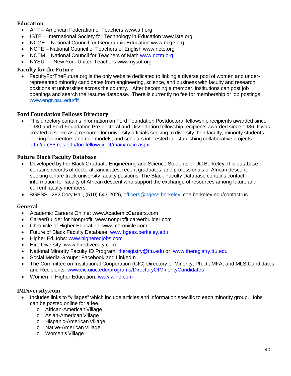#### **Education**

- AFT American Federation of Teachers www.aft.org
- ISTE International Society for Technology in Education www.iste.org
- NCGE National Council for Geographic Education www.ncge.org
- NCTE National Council of Teachers of English www.ncte.org
- NCTM National Council for Teachers of Math [www.nctm.org](http://www.nctm.org/)
- NYSUT New York United Teachers www.nysut.org

#### **Faculty for the Future**

• FacultyForTheFuture.org is the only website dedicated to linking a diverse pool of women and underrepresented minority candidates from engineering, science, and business with faculty and research positions at universities across the country. After becoming a member, institutions can post job openings and search the resume database. There is currently no fee for membership or job postings. [www.engr.psu.edu/fff](http://www.engr.psu.edu/fff)

#### **Ford Foundation Fellows Directory**

• This directory contains information on Ford Foundation Postdoctoral fellowship recipients awarded since 1980 and Ford Foundation Pre-doctoral and Dissertation fellowship recipients awarded since 1986. It was created to serve as a resource for university officials seeking to diversify their faculty, minority students looking for mentors and role models, and scholars interested in establishing collaborative projects. <http://nrc58.nas.edu/fordfellowdirect/main/main.aspx>

#### **Future Black Faculty Database**

- Developed by the Black Graduate Engineering and Science Students of UC Berkeley, this database contains records of doctoral candidates, recent graduates, and professionals of African descent seeking tenure-track university faculty positions. The Black Faculty Database contains contact information for faculty of African descent who support the exchange of resources among future and current faculty members.
- BGESS 282 Cory Hall, (510) 643-2026, [officers@bgess.berkeley,](mailto:officers@bgess.berkeley) coe.berkeley.edu/contact-us

#### **General**

- Academic Careers Online: www.AcademicCareers.com
- CareerBuilder for Nonprofit: www.nonprofit.careerbuilder.com
- Chronicle of Higher Education: www.chronicle.com
- Future of Black Faculty Database: www.bgess.berkeley.edu
- Higher Ed Jobs: www.higheredjobs.com
- Hire Diversity: www.hirediversity.com
- National Minority Faculty ID Program: theregistry@ttu.edu or, www.theregistry.ttu.edu
- Social Media Groups: Facebook and LinkedIn
- The Committee on Institutional Cooperation (CIC) Directory of Minority, Ph.D., MFA, and MLS Candidates and Recipients: www.cic.uiuc.edu/programs/DirectoryOfMinorityCandidates
- Women in Higher Education: www.wihe.com

#### **IMDiversity.com**

- Includes links to "villages" which include articles and information specific to each minority group. Jobs can be posted online for a fee.
	- o African-American Village
	- o Asian-American Village
	- o Hispanic-AmericanVillage
	- o Native-American Village
	- o Women's Village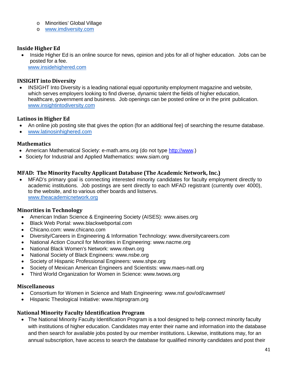- o Minorities' Global Village
- o [www.imdiversity.com](http://www.imdiversity.com/)

#### **Inside Higher Ed**

• Inside Higher Ed is an online source for news, opinion and jobs for all of higher education. Jobs can be posted for a fee.

[www.insidehighered.com](http://www.insidehighered.com/)

#### **INSIGHT into Diversity**

• INSIGHT Into Diversity is a leading national equal opportunity employment magazine and website, which serves employers looking to find diverse, dynamic talent the fields of higher education, healthcare, government and business. Job openings can be posted online or in the print publication. [www.insightintodiversity.com](http://www.insightintodiversity.com/)

#### **Latinos in Higher Ed**

- An online job posting site that gives the option (for an additional fee) of searching the resume database.
- [www.latinosinhighered.com](http://www.latinosinhighered.com/)

#### **Mathematics**

- American Mathematical Society: e-math.ams.org (do not type [http://www.](http://www/))
- Society for Industrial and Applied Mathematics: www.siam.org

#### **MFAD: The Minority Faculty Applicant Database (The Academic Network, Inc.)**

• MFAD's primary goal is connecting interested minority candidates for faculty employment directly to academic institutions. Job postings are sent directly to each MFAD registrant (currently over 4000), to the website, and to various other boards and listservs. [www.theacademicnetwork.org](http://www.theacademicnetwork.org/)

#### **Minorities in Technology**

- American Indian Science & Engineering Society (AISES): www.aises.org
- Black Web Portal: www.blackwebportal.com
- Chicano.com: www.chicano.com
- Diversity/Careers in Engineering & Information Technology: www.diversitycareers.com
- National Action Council for Minorities in Engineering: www.nacme.org
- National Black Women's Network: www.nbwn.org
- National Society of Black Engineers: www.nsbe.org
- Society of Hispanic Professional Engineers: www.shpe.org
- Society of Mexican American Engineers and Scientists: www.maes-natl.org
- Third World Organization for Women in Science: www.twows.org

#### **Miscellaneous**

- Consortium for Women in Science and Math Engineering: www.nsf.gov/od/cawmset/
- Hispanic Theological Initiative: www.htiprogram.org

#### **National Minority Faculty Identification Program**

• The National Minority Faculty Identification Program is a tool designed to help connect minority faculty with institutions of higher education. Candidates may enter their name and information into the database and then search for available jobs posted by our member institutions. Likewise, institutions may, for an annual subscription, have access to search the database for qualified minority candidates and post their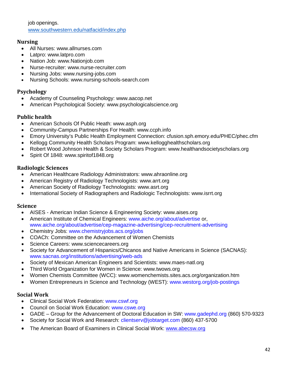job openings. [www.southwestern.edu/natfacid/index.php](http://www.southwestern.edu/natfacid/index.php)

#### **Nursing**

- All Nurses: www.allnurses.com
- Latpro: www.latpro.com
- Nation Job: www.Nationjob.com
- Nurse-recruiter: www.nurse-recruiter.com
- Nursing Jobs: www.nursing-jobs.com
- Nursing Schools: www.nursing-schools-search.com

#### **Psychology**

- Academy of Counseling Psychology: www.aacop.net
- American Psychological Society: www.psychologicalscience.org

#### **Public health**

- American Schools Of Public Heath: www.asph.org
- Community-Campus Partnerships For Health: www.ccph.info
- Emory University's Public Health Employment Connection: cfusion.sph.emory.edu/PHEC/phec.cfm
- Kellogg Community Health Scholars Program: www.kellogghealthscholars.org
- Robert Wood Johnson Health & Society Scholars Program: www.healthandsocietyscholars.org
- Spirit Of 1848: www.spiritof1848.org

#### **Radiologic Sciences**

- American Healthcare Radiology Administrators: www.ahraonline.org
- American Registry of Radiology Technologists: www.arrt.org
- American Society of Radiology Technologists: www.asrt.org
- International Society of Radiographers and Radiologic Technologists: www.isrrt.org

#### **Science**

- AISES American Indian Science & Engineering Society: www.aises.org
- American Institute of Chemical Engineers: www.aiche.org/about/advertise or, www.aiche.org/about/advertise/cep-magazine-advertising/cep-recruitment-advertising
- Chemistry Jobs: www.chemistryjobs.acs.org/jobs
- COACh: Committee on the Advancement of Women Chemists
- Science Careers: www.sciencecareers.org
- Society for Advancement of Hispanics/Chicanos and Native Americans in Science (SACNAS): www.sacnas.org/institutions/advertising/web-ads
- Society of Mexican American Engineers and Scientists: www.maes-natl.org
- Third World Organization for Women in Science: www.twows.org
- Women Chemists Committee (WCC): www.womenchemists.sites.acs.org/organization.htm
- Women Entrepreneurs in Science and Technology (WEST): www.westorg.org/job-postings

#### **Social Work**

- Clinical Social Work Federation: www.cswf.org
- Council on Social Work Education: www.cswe.org
- GADE Group for the Advancement of Doctoral Education in SW: www.gadephd.org (860) 570-9323
- Society for Social Work and Research: clientserv@jobtarget.com (860) 437-5700
- The American Board of Examiners in Clinical Social Work: [www.abecsw.org](http://www.abecsw.org/)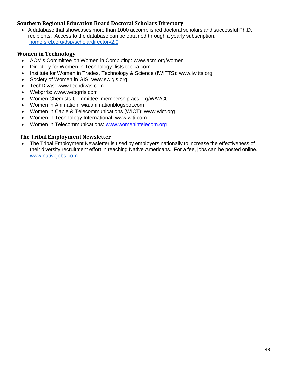#### **Southern Regional Education Board Doctoral Scholars Directory**

• A database that showcases more than 1000 accomplished doctoral scholars and successful Ph.D. recipients. Access to the database can be obtained through a yearly subscription. home.sreb.org/dsp/scholardirectory2.0

#### **Women in Technology**

- ACM's Committee on Women in Computing: www.acm.org/women
- Directory for Women in Technology: lists.topica.com
- Institute for Women in Trades, Technology & Science (IWITTS): www.iwitts.org
- Society of Women in GIS: www.swigis.org
- TechDivas: www.techdivas.com
- Webgrrls: www.webgrrls.com
- Women Chemists Committee: membership.acs.org/W/WCC
- Women in Animation: wia.animationblogspot.com
- Women in Cable & Telecommunications (WICT): www.wict.org
- Women in Technology International: www.witi.com
- Women in Telecommunications: [www.womenintelecom.org](http://www.womenintelecom.org/)

#### **The Tribal Employment Newsletter**

• The Tribal Employment Newsletter is used by employers nationally to increase the effectiveness of their diversity recruitment effort in reaching Native Americans. For a fee, jobs can be posted online. [www.nativejobs.com](http://www.nativejobs.com/)